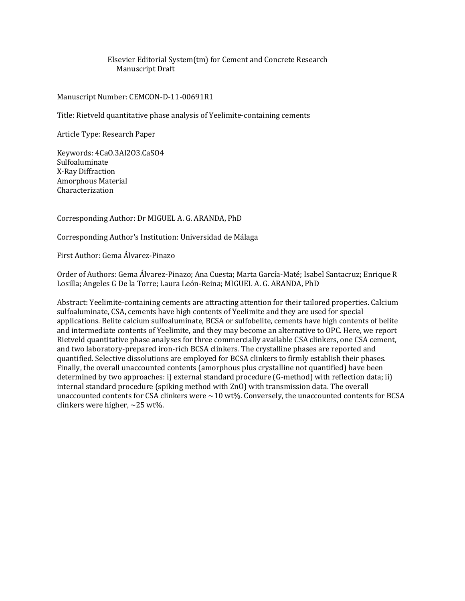Elsevier Editorial System(tm) for Cement and Concrete Research Manuscript Draft

Manuscript Number: CEMCON-D-11-00691R1

Title: Rietveld quantitative phase analysis of Yeelimite-containing cements

Article Type: Research Paper

Keywords: 4CaO.3Al2O3.CaSO4 Sulfoaluminate X-Ray Diffraction Amorphous Material Characterization

Corresponding Author: Dr MIGUEL A. G. ARANDA, PhD

Corresponding Author's Institution: Universidad de Málaga

First Author: Gema Álvarez-Pinazo

Order of Authors: Gema Álvarez-Pinazo; Ana Cuesta; Marta García-Maté; Isabel Santacruz; Enrique R Losilla; Angeles G De la Torre; Laura León-Reina; MIGUEL A. G. ARANDA, PhD

Abstract: Yeelimite-containing cements are attracting attention for their tailored properties. Calcium sulfoaluminate, CSA, cements have high contents of Yeelimite and they are used for special applications. Belite calcium sulfoaluminate, BCSA or sulfobelite, cements have high contents of belite and intermediate contents of Yeelimite, and they may become an alternative to OPC. Here, we report Rietveld quantitative phase analyses for three commercially available CSA clinkers, one CSA cement, and two laboratory-prepared iron-rich BCSA clinkers. The crystalline phases are reported and quantified. Selective dissolutions are employed for BCSA clinkers to firmly establish their phases. Finally, the overall unaccounted contents (amorphous plus crystalline not quantified) have been determined by two approaches: i) external standard procedure (G-method) with reflection data; ii) internal standard procedure (spiking method with ZnO) with transmission data. The overall unaccounted contents for CSA clinkers were  $\sim$  10 wt%. Conversely, the unaccounted contents for BCSA clinkers were higher, ~25 wt%.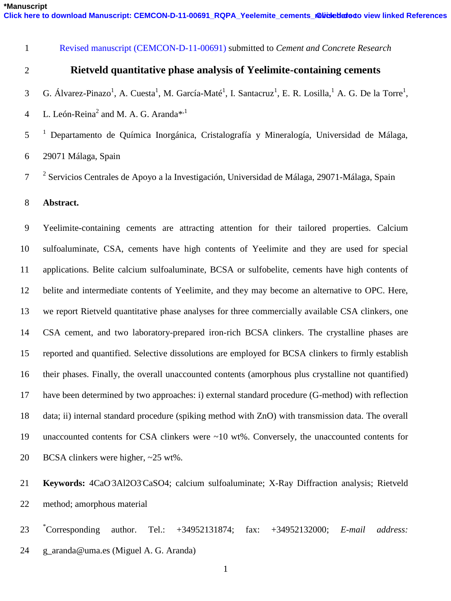Revised manuscript (CEMCON-D-11-00691) submitted to *Cement and Concrete Research*

## **Rietveld quantitative phase analysis of Yeelimite-containing cements**

- 3 G. Álvarez-Pinazo<sup>1</sup>, A. Cuesta<sup>1</sup>, M. García-Maté<sup>1</sup>, I. Santacruz<sup>1</sup>, E. R. Losilla,<sup>1</sup> A. G. De la Torre<sup>1</sup>,
- 4 L. León-Reina<sup>2</sup> and M. A. G. Aranda<sup>\*,1</sup>
- 5<sup>1</sup> Departamento de Química Inorgánica, Cristalografía y Mineralogía, Universidad de Málaga,
- 29071 Málaga, Spain

<sup>2</sup> Servicios Centrales de Apoyo a la Investigación, Universidad de Málaga, 29071-Málaga, Spain

**Abstract.**

 Yeelimite-containing cements are attracting attention for their tailored properties. Calcium sulfoaluminate, CSA, cements have high contents of Yeelimite and they are used for special applications. Belite calcium sulfoaluminate, BCSA or sulfobelite, cements have high contents of belite and intermediate contents of Yeelimite, and they may become an alternative to OPC. Here, we report Rietveld quantitative phase analyses for three commercially available CSA clinkers, one CSA cement, and two laboratory-prepared iron-rich BCSA clinkers. The crystalline phases are reported and quantified. Selective dissolutions are employed for BCSA clinkers to firmly establish their phases. Finally, the overall unaccounted contents (amorphous plus crystalline not quantified) have been determined by two approaches: i) external standard procedure (G-method) with reflection data; ii) internal standard procedure (spiking method with ZnO) with transmission data. The overall unaccounted contents for CSA clinkers were ~10 wt%. Conversely, the unaccounted contents for BCSA clinkers were higher, ~25 wt%.

21 **Keywords:** 4CaO<sup>3</sup>Al2O3CaSO4; calcium sulfoaluminate; X-Ray Diffraction analysis; Rietveld method; amorphous material

\*Corresponding Corresponding author. Tel.: +34952131874; fax: +34952132000; *E-mail address:*  24 g aranda@uma.es (Miguel A. G. Aranda)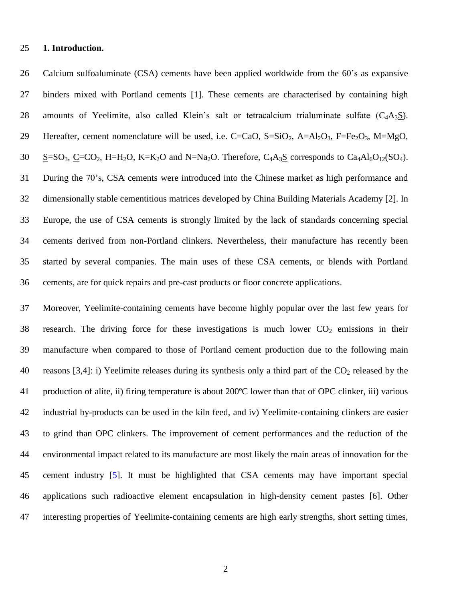#### **1. Introduction.**

 Calcium sulfoaluminate (CSA) cements have been applied worldwide from the 60's as expansive binders mixed with Portland cements [1]. These cements are characterised by containing high 28 amounts of Yeelimite, also called Klein's salt or tetracalcium trialuminate sulfate  $(C_4A_3S)$ . 29 Hereafter, cement nomenclature will be used, i.e.  $C=CaO$ ,  $S=SiO_2$ ,  $A=Al_2O_3$ ,  $F=Fe_2O_3$ ,  $M=MgO$ , 30  $\underline{S}$ =SO<sub>3</sub>,  $\underline{C}$ =CO<sub>2</sub>, H=H<sub>2</sub>O, K=K<sub>2</sub>O and N=Na<sub>2</sub>O. Therefore, C<sub>4</sub>A<sub>3</sub><u>S</u> corresponds to Ca<sub>4</sub>Al<sub>6</sub>O<sub>12</sub>(SO<sub>4</sub>). During the 70's, CSA cements were introduced into the Chinese market as high performance and dimensionally stable cementitious matrices developed by China Building Materials Academy [2]. In Europe, the use of CSA cements is strongly limited by the lack of standards concerning special cements derived from non-Portland clinkers. Nevertheless, their manufacture has recently been started by several companies. The main uses of these CSA cements, or blends with Portland cements, are for quick repairs and pre-cast products or floor concrete applications.

 Moreover, Yeelimite-containing cements have become highly popular over the last few years for 38 research. The driving force for these investigations is much lower  $CO<sub>2</sub>$  emissions in their manufacture when compared to those of Portland cement production due to the following main 40 reasons [3,4]: i) Yeelimite releases during its synthesis only a third part of the  $CO<sub>2</sub>$  released by the production of alite, ii) firing temperature is about 200ºC lower than that of OPC clinker, iii) various industrial by-products can be used in the kiln feed, and iv) Yeelimite-containing clinkers are easier to grind than OPC clinkers. The improvement of cement performances and the reduction of the environmental impact related to its manufacture are most likely the main areas of innovation for the cement industry [5]. It must be highlighted that CSA cements may have important special applications such radioactive element encapsulation in high-density cement pastes [6]. Other interesting properties of Yeelimite-containing cements are high early strengths, short setting times,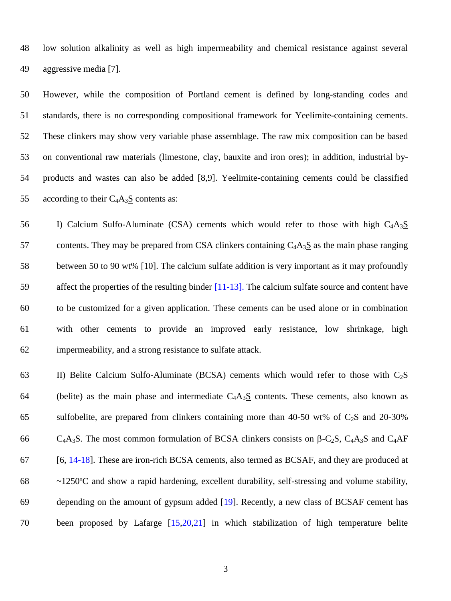low solution alkalinity as well as high impermeability and chemical resistance against several aggressive media [7].

 However, while the composition of Portland cement is defined by long-standing codes and standards, there is no corresponding compositional framework for Yeelimite-containing cements. These clinkers may show very variable phase assemblage. The raw mix composition can be based on conventional raw materials (limestone, clay, bauxite and iron ores); in addition, industrial by- products and wastes can also be added [8,9]. Yeelimite-containing cements could be classified 55 according to their  $C_4A_3S$  contents as:

56 I) Calcium Sulfo-Aluminate (CSA) cements which would refer to those with high  $C_4A_3S$ 57 contents. They may be prepared from CSA clinkers containing  $C_4A_3S$  as the main phase ranging between 50 to 90 wt% [10]. The calcium sulfate addition is very important as it may profoundly affect the properties of the resulting binder [11-13]. The calcium sulfate source and content have to be customized for a given application. These cements can be used alone or in combination with other cements to provide an improved early resistance, low shrinkage, high impermeability, and a strong resistance to sulfate attack.

63 II) Belite Calcium Sulfo-Aluminate (BCSA) cements which would refer to those with  $C_2S$ 64 (belite) as the main phase and intermediate  $C_4A_3S$  contents. These cements, also known as 65 sulfobelite, are prepared from clinkers containing more than 40-50 wt% of  $C_2S$  and 20-30% 66 C<sub>4</sub>A<sub>3</sub>S. The most common formulation of BCSA clinkers consists on  $\beta$ -C<sub>2</sub>S, C<sub>4</sub>A<sub>3</sub>S and C<sub>4</sub>AF [6, 14-18]. These are iron-rich BCSA cements, also termed as BCSAF, and they are produced at ~1250ºC and show a rapid hardening, excellent durability, self-stressing and volume stability, depending on the amount of gypsum added [19]. Recently, a new class of BCSAF cement has been proposed by Lafarge [15,20,21] in which stabilization of high temperature belite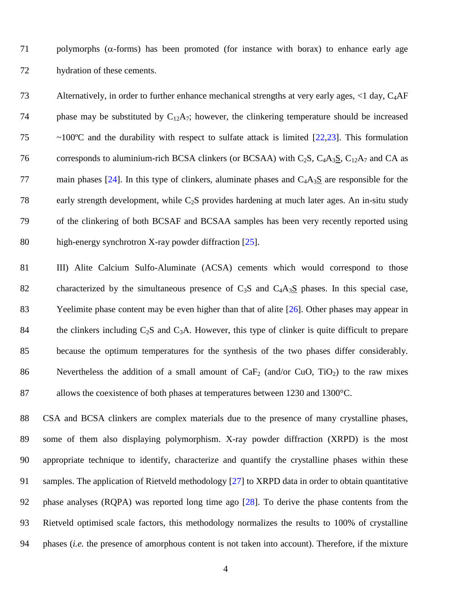71 polymorphs ( $\alpha$ -forms) has been promoted (for instance with borax) to enhance early age 72 hydration of these cements.

73 Alternatively, in order to further enhance mechanical strengths at very early ages, <1 day, C4AF 74 phase may be substituted by  $C_{12}A_7$ ; however, the clinkering temperature should be increased 75 ~100ºC and the durability with respect to sulfate attack is limited [22,23]. This formulation 76 corresponds to aluminium-rich BCSA clinkers (or BCSAA) with C<sub>2</sub>S, C<sub>4</sub>A<sub>3</sub>S, C<sub>12</sub>A<sub>7</sub> and CA as 77 main phases [24]. In this type of clinkers, aluminate phases and  $C_4A_3S$  are responsible for the 78 early strength development, while  $C_2S$  provides hardening at much later ages. An in-situ study 79 of the clinkering of both BCSAF and BCSAA samples has been very recently reported using 80 high-energy synchrotron X-ray powder diffraction [25].

81 III) Alite Calcium Sulfo-Aluminate (ACSA) cements which would correspond to those 82 characterized by the simultaneous presence of  $C_3S$  and  $C_4A_3S$  phases. In this special case, 83 Yeelimite phase content may be even higher than that of alite [26]. Other phases may appear in 84 the clinkers including  $C_2S$  and  $C_3A$ . However, this type of clinker is quite difficult to prepare 85 because the optimum temperatures for the synthesis of the two phases differ considerably. 86 Nevertheless the addition of a small amount of  $CaF<sub>2</sub>$  (and/or CuO, TiO<sub>2</sub>) to the raw mixes 87 allows the coexistence of both phases at temperatures between 1230 and 1300 °C.

 CSA and BCSA clinkers are complex materials due to the presence of many crystalline phases, some of them also displaying polymorphism. X-ray powder diffraction (XRPD) is the most appropriate technique to identify, characterize and quantify the crystalline phases within these samples. The application of Rietveld methodology [27] to XRPD data in order to obtain quantitative phase analyses (RQPA) was reported long time ago [28]. To derive the phase contents from the Rietveld optimised scale factors, this methodology normalizes the results to 100% of crystalline phases (*i.e.* the presence of amorphous content is not taken into account). Therefore, if the mixture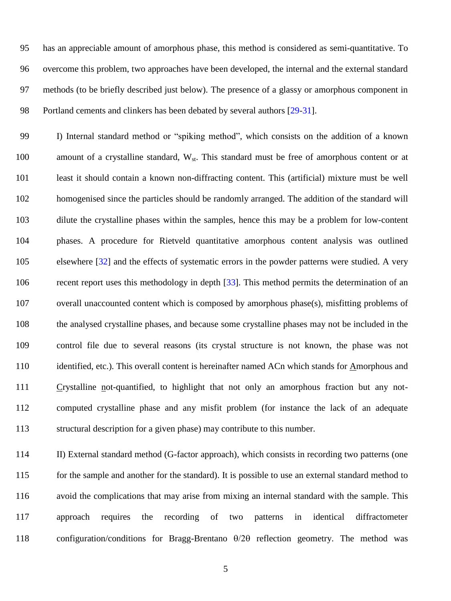has an appreciable amount of amorphous phase, this method is considered as semi-quantitative. To overcome this problem, two approaches have been developed, the internal and the external standard methods (to be briefly described just below). The presence of a glassy or amorphous component in Portland cements and clinkers has been debated by several authors [29-31].

99 I) Internal standard method or "spiking method", which consists on the addition of a known 100 amount of a crystalline standard,  $W_{st}$ . This standard must be free of amorphous content or at least it should contain a known non-diffracting content. This (artificial) mixture must be well homogenised since the particles should be randomly arranged. The addition of the standard will dilute the crystalline phases within the samples, hence this may be a problem for low-content phases. A procedure for Rietveld quantitative amorphous content analysis was outlined elsewhere [32] and the effects of systematic errors in the powder patterns were studied. A very recent report uses this methodology in depth [33]. This method permits the determination of an overall unaccounted content which is composed by amorphous phase(s), misfitting problems of the analysed crystalline phases, and because some crystalline phases may not be included in the control file due to several reasons (its crystal structure is not known, the phase was not identified, etc.). This overall content is hereinafter named ACn which stands for Amorphous and Crystalline not-quantified, to highlight that not only an amorphous fraction but any not- computed crystalline phase and any misfit problem (for instance the lack of an adequate structural description for a given phase) may contribute to this number.

 II) External standard method (G-factor approach), which consists in recording two patterns (one for the sample and another for the standard). It is possible to use an external standard method to avoid the complications that may arise from mixing an internal standard with the sample. This approach requires the recording of two patterns in identical diffractometer 118 configuration/conditions for Bragg-Brentano  $\theta/2\theta$  reflection geometry. The method was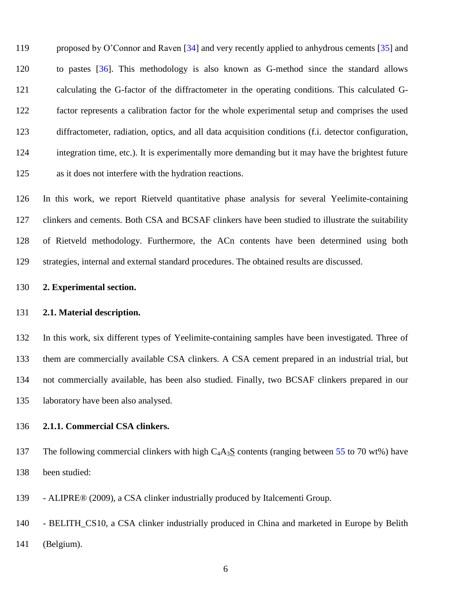119 proposed by O'Connor and Raven [34] and very recently applied to anhydrous cements [35] and to pastes [36]. This methodology is also known as G-method since the standard allows calculating the G-factor of the diffractometer in the operating conditions. This calculated G- factor represents a calibration factor for the whole experimental setup and comprises the used diffractometer, radiation, optics, and all data acquisition conditions (f.i. detector configuration, integration time, etc.). It is experimentally more demanding but it may have the brightest future as it does not interfere with the hydration reactions.

 In this work, we report Rietveld quantitative phase analysis for several Yeelimite-containing clinkers and cements. Both CSA and BCSAF clinkers have been studied to illustrate the suitability of Rietveld methodology. Furthermore, the ACn contents have been determined using both strategies, internal and external standard procedures. The obtained results are discussed.

#### **2. Experimental section.**

#### **2.1. Material description.**

 In this work, six different types of Yeelimite-containing samples have been investigated. Three of them are commercially available CSA clinkers. A CSA cement prepared in an industrial trial, but not commercially available, has been also studied. Finally, two BCSAF clinkers prepared in our laboratory have been also analysed.

## **2.1.1. Commercial CSA clinkers.**

137 The following commercial clinkers with high  $C_4A_3S$  contents (ranging between 55 to 70 wt%) have been studied:

- ALIPRE® (2009), a CSA clinker industrially produced by Italcementi Group.

 - BELITH\_CS10, a CSA clinker industrially produced in China and marketed in Europe by Belith (Belgium).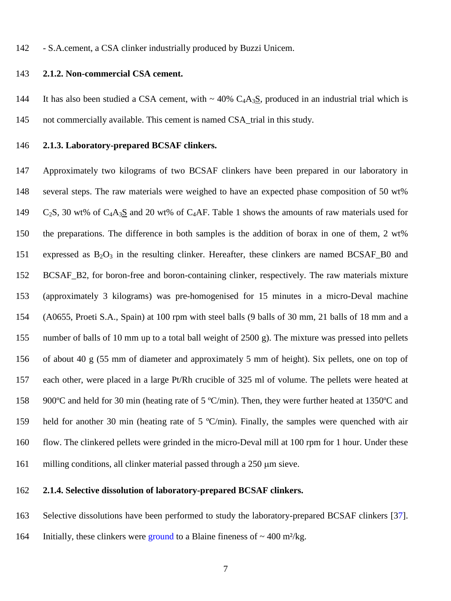- S.A.cement, a CSA clinker industrially produced by Buzzi Unicem.

#### **2.1.2. Non-commercial CSA cement.**

144 It has also been studied a CSA cement, with  $\sim 40\%$  C<sub>4</sub>A<sub>3</sub>S, produced in an industrial trial which is not commercially available. This cement is named CSA\_trial in this study.

#### **2.1.3. Laboratory-prepared BCSAF clinkers.**

 Approximately two kilograms of two BCSAF clinkers have been prepared in our laboratory in several steps. The raw materials were weighed to have an expected phase composition of 50 wt%  $C_2S$ , 30 wt% of  $C_4A_3S$  and 20 wt% of  $C_4AF$ . Table 1 shows the amounts of raw materials used for the preparations. The difference in both samples is the addition of borax in one of them, 2 wt% 151 expressed as  $B_2O_3$  in the resulting clinker. Hereafter, these clinkers are named BCSAF\_B0 and BCSAF\_B2, for boron-free and boron-containing clinker, respectively. The raw materials mixture (approximately 3 kilograms) was pre-homogenised for 15 minutes in a micro-Deval machine (A0655, Proeti S.A., Spain) at 100 rpm with steel balls (9 balls of 30 mm, 21 balls of 18 mm and a number of balls of 10 mm up to a total ball weight of 2500 g). The mixture was pressed into pellets of about 40 g (55 mm of diameter and approximately 5 mm of height). Six pellets, one on top of each other, were placed in a large Pt/Rh crucible of 325 ml of volume. The pellets were heated at 900ºC and held for 30 min (heating rate of 5 ºC/min). Then, they were further heated at 1350ºC and held for another 30 min (heating rate of 5 ºC/min). Finally, the samples were quenched with air flow. The clinkered pellets were grinded in the micro-Deval mill at 100 rpm for 1 hour. Under these 161 milling conditions, all clinker material passed through a 250  $\mu$ m sieve.

#### **2.1.4. Selective dissolution of laboratory-prepared BCSAF clinkers.**

Selective dissolutions have been performed to study the laboratory-prepared BCSAF clinkers [37].

164 Initially, these clinkers were ground to a Blaine fineness of  $\sim 400$  m<sup>2</sup>/kg.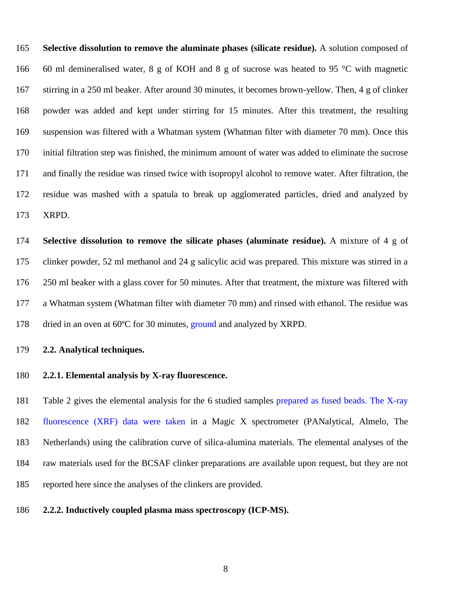**Selective dissolution to remove the aluminate phases (silicate residue).** A solution composed of 60 ml demineralised water, 8 g of KOH and 8 g of sucrose was heated to 95 °C with magnetic stirring in a 250 ml beaker. After around 30 minutes, it becomes brown-yellow. Then, 4 g of clinker powder was added and kept under stirring for 15 minutes. After this treatment, the resulting suspension was filtered with a Whatman system (Whatman filter with diameter 70 mm). Once this initial filtration step was finished, the minimum amount of water was added to eliminate the sucrose and finally the residue was rinsed twice with isopropyl alcohol to remove water. After filtration, the residue was mashed with a spatula to break up agglomerated particles, dried and analyzed by XRPD.

 **Selective dissolution to remove the silicate phases (aluminate residue).** A mixture of 4 g of clinker powder, 52 ml methanol and 24 g salicylic acid was prepared. This mixture was stirred in a 250 ml beaker with a glass cover for 50 minutes. After that treatment, the mixture was filtered with a Whatman system (Whatman filter with diameter 70 mm) and rinsed with ethanol. The residue was 178 dried in an oven at 60°C for 30 minutes, ground and analyzed by XRPD.

#### **2.2. Analytical techniques.**

#### **2.2.1. Elemental analysis by X-ray fluorescence.**

 Table 2 gives the elemental analysis for the 6 studied samples prepared as fused beads. The X-ray fluorescence (XRF) data were taken in a Magic X spectrometer (PANalytical, Almelo, The Netherlands) using the calibration curve of silica-alumina materials. The elemental analyses of the raw materials used for the BCSAF clinker preparations are available upon request, but they are not reported here since the analyses of the clinkers are provided.

**2.2.2. Inductively coupled plasma mass spectroscopy (ICP-MS).**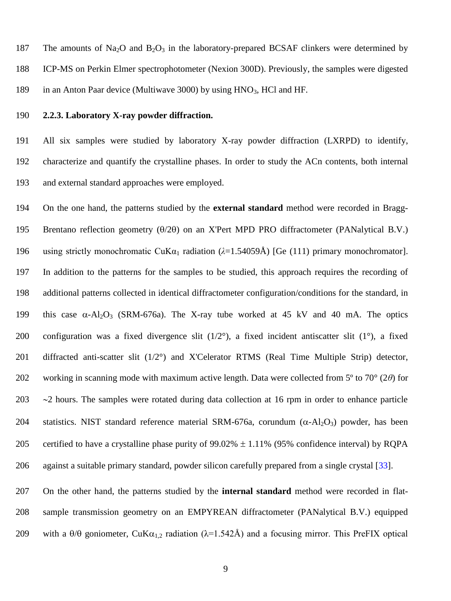187 The amounts of Na<sub>2</sub>O and B<sub>2</sub>O<sub>3</sub> in the laboratory-prepared BCSAF clinkers were determined by 188 ICP-MS on Perkin Elmer spectrophotometer (Nexion 300D). Previously, the samples were digested 189 in an Anton Paar device (Multiwave 3000) by using HNO<sub>3</sub>, HCl and HF.

## 190 **2.2.3. Laboratory X-ray powder diffraction.**

191 All six samples were studied by laboratory X-ray powder diffraction (LXRPD) to identify, 192 characterize and quantify the crystalline phases. In order to study the ACn contents, both internal 193 and external standard approaches were employed.

194 On the one hand, the patterns studied by the **external standard** method were recorded in Bragg-195 Brentano reflection geometry  $(\theta/2\theta)$  on an X'Pert MPD PRO diffractometer (PANalytical B.V.) 196 using strictly monochromatic CuK $\alpha_1$  radiation ( $\lambda$ =1.54059Å) [Ge (111) primary monochromator]. 197 In addition to the patterns for the samples to be studied, this approach requires the recording of 198 additional patterns collected in identical diffractometer configuration/conditions for the standard, in 199 this case  $\alpha$ -Al<sub>2</sub>O<sub>3</sub> (SRM-676a). The X-ray tube worked at 45 kV and 40 mA. The optics 200 configuration was a fixed divergence slit  $(1/2^{\circ})$ , a fixed incident antiscatter slit  $(1^{\circ})$ , a fixed 201 diffracted anti-scatter slit (1/2°) and X'Celerator RTMS (Real Time Multiple Strip) detector, 202 working in scanning mode with maximum active length. Data were collected from 5º to 70° (2*θ*) for 203  $\sim$  2 hours. The samples were rotated during data collection at 16 rpm in order to enhance particle 204 statistics. NIST standard reference material SRM-676a, corundum  $(\alpha - Al_2O_3)$  powder, has been 205 certified to have a crystalline phase purity of  $99.02\% \pm 1.11\%$  (95% confidence interval) by RQPA 206 against a suitable primary standard, powder silicon carefully prepared from a single crystal [33].

207 On the other hand, the patterns studied by the **internal standard** method were recorded in flat-208 sample transmission geometry on an EMPYREAN diffractometer (PANalytical B.V.) equipped 209 with a  $\theta/\theta$  goniometer, CuK $\alpha_{1,2}$  radiation ( $\lambda$ =1.542Å) and a focusing mirror. This PreFIX optical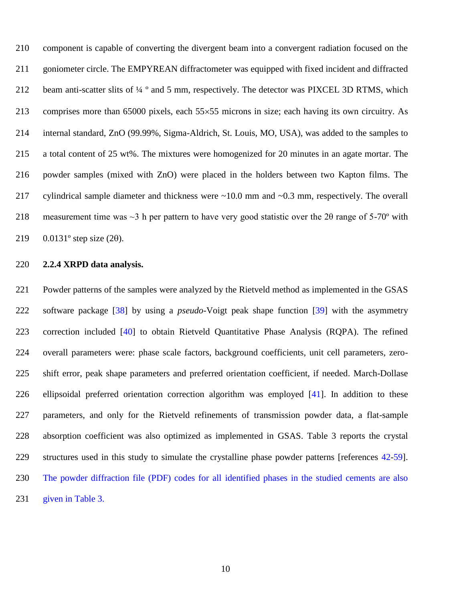component is capable of converting the divergent beam into a convergent radiation focused on the 211 goniometer circle. The EMPYREAN diffractometer was equipped with fixed incident and diffracted 212 beam anti-scatter slits of  $\frac{1}{4}$  ° and 5 mm, respectively. The detector was PIXCEL 3D RTMS, which 213 comprises more than 65000 pixels, each  $55\times55$  microns in size; each having its own circuitry. As internal standard, ZnO (99.99%, Sigma-Aldrich, St. Louis, MO, USA), was added to the samples to a total content of 25 wt%. The mixtures were homogenized for 20 minutes in an agate mortar. The powder samples (mixed with ZnO) were placed in the holders between two Kapton films. The cylindrical sample diameter and thickness were ~10.0 mm and ~0.3 mm, respectively. The overall measurement time was ~3 h per pattern to have very good statistic over the 2θ range of 5-70º with  $0.0131^{\circ}$  step size (20).

## **2.2.4 XRPD data analysis.**

 Powder patterns of the samples were analyzed by the Rietveld method as implemented in the GSAS software package [38] by using a *pseudo*-Voigt peak shape function [39] with the asymmetry correction included [40] to obtain Rietveld Quantitative Phase Analysis (RQPA). The refined overall parameters were: phase scale factors, background coefficients, unit cell parameters, zero- shift error, peak shape parameters and preferred orientation coefficient, if needed. March-Dollase ellipsoidal preferred orientation correction algorithm was employed [41]. In addition to these parameters, and only for the Rietveld refinements of transmission powder data, a flat-sample absorption coefficient was also optimized as implemented in GSAS. Table 3 reports the crystal structures used in this study to simulate the crystalline phase powder patterns [references 42-59]. The powder diffraction file (PDF) codes for all identified phases in the studied cements are also given in Table 3.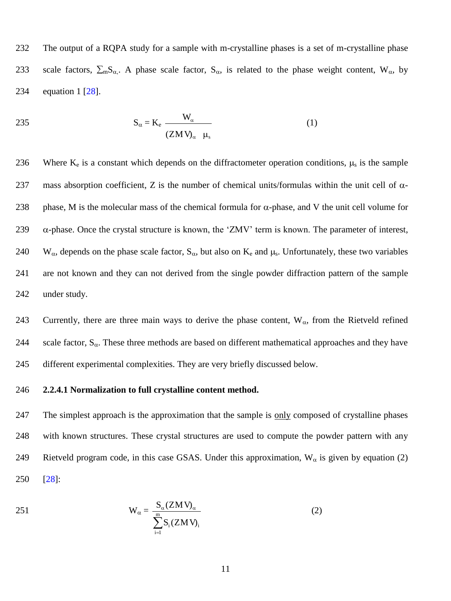232 The output of a RQPA study for a sample with m-crystalline phases is a set of m-crystalline phase 233 scale factors,  $\sum_{m} S_{\alpha}$ . A phase scale factor,  $S_{\alpha}$ , is related to the phase weight content, W<sub> $\alpha$ </sub>, by 234 equation 1 [28].

$$
S_{\alpha} = K_{e} \frac{W_{\alpha}}{(ZM V)_{\alpha} \mu_{s}}
$$
 (1)

236 Where  $K_e$  is a constant which depends on the diffractometer operation conditions,  $\mu_s$  is the sample 237 mass absorption coefficient, Z is the number of chemical units/formulas within the unit cell of  $\alpha$ -238 phase, M is the molecular mass of the chemical formula for  $\alpha$ -phase, and V the unit cell volume for 239  $\alpha$ -phase. Once the crystal structure is known, the 'ZMV' term is known. The parameter of interest, 240 W<sub>a</sub>, depends on the phase scale factor,  $S_{\alpha}$ , but also on K<sub>e</sub> and  $\mu_s$ . Unfortunately, these two variables 241 are not known and they can not derived from the single powder diffraction pattern of the sample 242 under study.

243 Currently, there are three main ways to derive the phase content,  $W_{\alpha}$ , from the Rietveld refined 244 scale factor,  $S_\alpha$ . These three methods are based on different mathematical approaches and they have 245 different experimental complexities. They are very briefly discussed below.

## 246 **2.2.4.1 Normalization to full crystalline content method.**

247 The simplest approach is the approximation that the sample is only composed of crystalline phases 248 with known structures. These crystal structures are used to compute the powder pattern with any 249 Rietveld program code, in this case GSAS. Under this approximation,  $W_{\alpha}$  is given by equation (2) 250 [28]:

$$
W_{\alpha} = \frac{S_{\alpha}(ZMV)_{\alpha}}{\sum_{i=1}^{m} S_{i}(ZMV)_{i}}
$$
(2)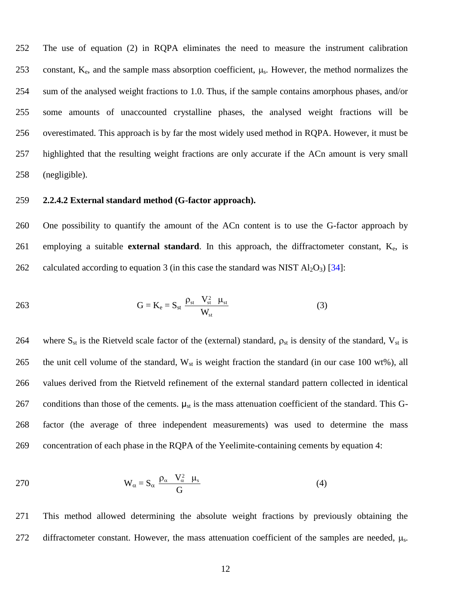The use of equation (2) in RQPA eliminates the need to measure the instrument calibration 253 constant,  $K_e$ , and the sample mass absorption coefficient,  $\mu_s$ . However, the method normalizes the sum of the analysed weight fractions to 1.0. Thus, if the sample contains amorphous phases, and/or some amounts of unaccounted crystalline phases, the analysed weight fractions will be overestimated. This approach is by far the most widely used method in RQPA. However, it must be highlighted that the resulting weight fractions are only accurate if the ACn amount is very small (negligible).

#### 259 **2.2.4.2 External standard method (G-factor approach).**

260 One possibility to quantify the amount of the ACn content is to use the G-factor approach by 261 employing a suitable **external standard**. In this approach, the diffractometer constant, Ke, is 262 calculated according to equation 3 (in this case the standard was NIST  $Al_2O_3$ ) [34]:

$$
G = K_{e} = S_{st} \frac{\rho_{st} V_{st}^{2} \mu_{st}}{W_{st}}
$$
(3)

264 where  $S_{st}$  is the Rietveld scale factor of the (external) standard,  $\rho_{st}$  is density of the standard,  $V_{st}$  is 265 the unit cell volume of the standard,  $W_{st}$  is weight fraction the standard (in our case 100 wt%), all 266 values derived from the Rietveld refinement of the external standard pattern collected in identical 267 conditions than those of the cements.  $\mu_{st}$  is the mass attenuation coefficient of the standard. This G-268 factor (the average of three independent measurements) was used to determine the mass 269 concentration of each phase in the RQPA of the Yeelimite-containing cements by equation 4:

$$
W_{\alpha} = S_{\alpha} \frac{\rho_{\alpha} V_{\alpha}^{2} \mu_{s}}{G}
$$
 (4)

271 This method allowed determining the absolute weight fractions by previously obtaining the 272 diffractometer constant. However, the mass attenuation coefficient of the samples are needed,  $\mu_s$ .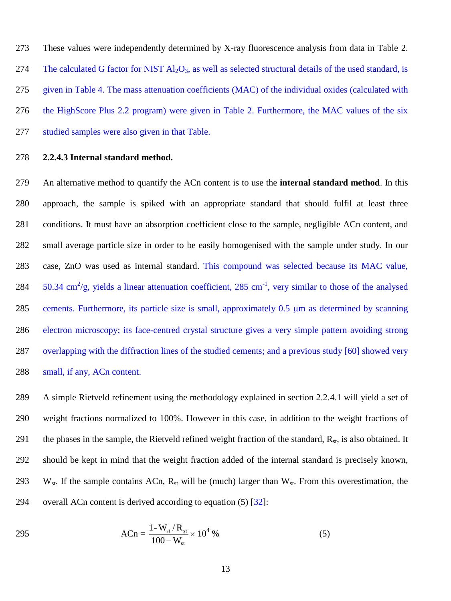These values were independently determined by X-ray fluorescence analysis from data in Table 2. 274 The calculated G factor for NIST  $\text{Al}_2\text{O}_3$ , as well as selected structural details of the used standard, is given in Table 4. The mass attenuation coefficients (MAC) of the individual oxides (calculated with the HighScore Plus 2.2 program) were given in Table 2. Furthermore, the MAC values of the six studied samples were also given in that Table.

#### 278 **2.2.4.3 Internal standard method.**

 An alternative method to quantify the ACn content is to use the **internal standard method**. In this approach, the sample is spiked with an appropriate standard that should fulfil at least three conditions. It must have an absorption coefficient close to the sample, negligible ACn content, and small average particle size in order to be easily homogenised with the sample under study. In our case, ZnO was used as internal standard. This compound was selected because its MAC value,  $\,$  50.34 cm<sup>2</sup>/g, yields a linear attenuation coefficient, 285 cm<sup>-1</sup>, very similar to those of the analysed 285 cements. Furthermore, its particle size is small, approximately 0.5  $\mu$ m as determined by scanning electron microscopy; its face-centred crystal structure gives a very simple pattern avoiding strong overlapping with the diffraction lines of the studied cements; and a previous study [60] showed very 288 small, if any, ACn content.

289 A simple Rietveld refinement using the methodology explained in section 2.2.4.1 will yield a set of 290 weight fractions normalized to 100%. However in this case, in addition to the weight fractions of 291 the phases in the sample, the Rietveld refined weight fraction of the standard,  $R_{st}$ , is also obtained. It 292 should be kept in mind that the weight fraction added of the internal standard is precisely known, 293 W<sub>st</sub>. If the sample contains ACn,  $R_{st}$  will be (much) larger than  $W_{st}$ . From this overestimation, the 294 overall ACn content is derived according to equation  $(5)$   $[32]$ :

295 
$$
ACn = \frac{1 - W_{st} / R_{st}}{100 - W_{st}} \times 10^4 \%
$$
 (5)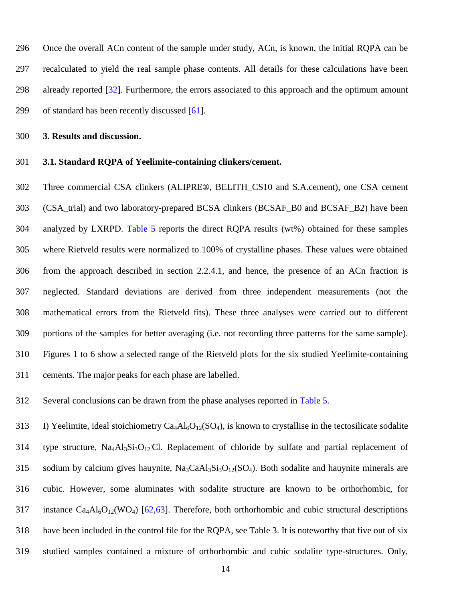Once the overall ACn content of the sample under study, ACn, is known, the initial RQPA can be recalculated to yield the real sample phase contents. All details for these calculations have been already reported [32]. Furthermore, the errors associated to this approach and the optimum amount of standard has been recently discussed [61].

**3. Results and discussion.**

#### **3.1. Standard RQPA of Yeelimite-containing clinkers/cement.**

 Three commercial CSA clinkers (ALIPRE®, BELITH\_CS10 and S.A.cement), one CSA cement (CSA\_trial) and two laboratory-prepared BCSA clinkers (BCSAF\_B0 and BCSAF\_B2) have been analyzed by LXRPD. Table 5 reports the direct RQPA results (wt%) obtained for these samples where Rietveld results were normalized to 100% of crystalline phases. These values were obtained from the approach described in section 2.2.4.1, and hence, the presence of an ACn fraction is neglected. Standard deviations are derived from three independent measurements (not the mathematical errors from the Rietveld fits). These three analyses were carried out to different portions of the samples for better averaging (i.e. not recording three patterns for the same sample). Figures 1 to 6 show a selected range of the Rietveld plots for the six studied Yeelimite-containing cements. The major peaks for each phase are labelled.

Several conclusions can be drawn from the phase analyses reported in Table 5.

313 I) Yeelimite, ideal stoichiometry  $Ca_4Al_6O_{12}(SO_4)$ , is known to crystallise in the tectosilicate sodalite 314 type structure, Na<sub>4</sub>Al<sub>3</sub>Si<sub>3</sub>O<sub>12</sub> Cl. Replacement of chloride by sulfate and partial replacement of 315 sodium by calcium gives hauynite,  $Na_3CaAl_3Si_3O_{12}(SO_4)$ . Both sodalite and hauynite minerals are cubic. However, some aluminates with sodalite structure are known to be orthorhombic, for 317 instance  $Ca_4Al_6O_{12}(WO_4)$  [62,63]. Therefore, both orthorhombic and cubic structural descriptions have been included in the control file for the RQPA, see Table 3. It is noteworthy that five out of six studied samples contained a mixture of orthorhombic and cubic sodalite type-structures. Only,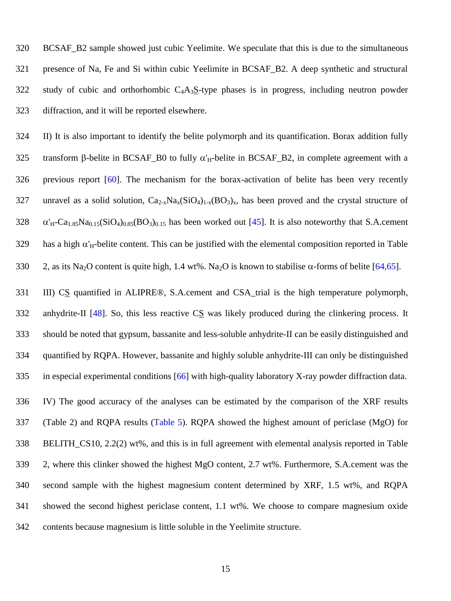BCSAF\_B2 sample showed just cubic Yeelimite. We speculate that this is due to the simultaneous presence of Na, Fe and Si within cubic Yeelimite in BCSAF\_B2. A deep synthetic and structural 322 study of cubic and orthorhombic  $C_4A_3S$ -type phases is in progress, including neutron powder diffraction, and it will be reported elsewhere.

 II) It is also important to identify the belite polymorph and its quantification. Borax addition fully 325 transform  $\beta$ -belite in BCSAF B0 to fully  $\alpha'_{H}$ -belite in BCSAF B2, in complete agreement with a previous report [60]. The mechanism for the borax-activation of belite has been very recently 327 unravel as a solid solution,  $Ca_{2-x}Na_x(SiO_4)_{1-x}(BO_3)_x$ , has been proved and the crystal structure of  $\alpha'_{H}$ -Ca<sub>1.85</sub>Na<sub>0.15</sub>(SiO<sub>4</sub>)<sub>0.85</sub>(BO<sub>3</sub>)<sub>0.15</sub> has been worked out [45]. It is also noteworthy that S.A.cement 329 has a high  $\alpha'_{H}$ -belite content. This can be justified with the elemental composition reported in Table 330 2, as its Na<sub>2</sub>O content is quite high, 1.4 wt%. Na<sub>2</sub>O is known to stabilise  $\alpha$ -forms of belite [64,65].

331 III) CS quantified in ALIPRE®, S.A.cement and CSA\_trial is the high temperature polymorph, anhydrite-II [48]. So, this less reactive CS was likely produced during the clinkering process. It should be noted that gypsum, bassanite and less-soluble anhydrite-II can be easily distinguished and quantified by RQPA. However, bassanite and highly soluble anhydrite-III can only be distinguished in especial experimental conditions [66] with high-quality laboratory X-ray powder diffraction data.

 IV) The good accuracy of the analyses can be estimated by the comparison of the XRF results (Table 2) and RQPA results (Table 5). RQPA showed the highest amount of periclase (MgO) for BELITH\_CS10, 2.2(2) wt%, and this is in full agreement with elemental analysis reported in Table 2, where this clinker showed the highest MgO content, 2.7 wt%. Furthermore, S.A.cement was the second sample with the highest magnesium content determined by XRF, 1.5 wt%, and RQPA showed the second highest periclase content, 1.1 wt%. We choose to compare magnesium oxide contents because magnesium is little soluble in the Yeelimite structure.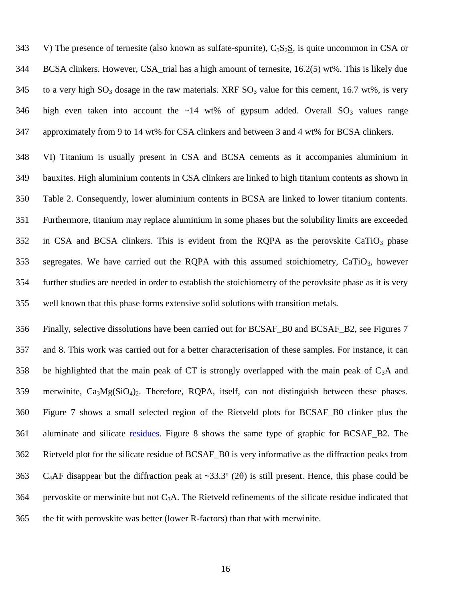343 V) The presence of ternesite (also known as sulfate-spurrite),  $C_5S_2S$ , is quite uncommon in CSA or BCSA clinkers. However, CSA\_trial has a high amount of ternesite, 16.2(5) wt%. This is likely due 345 to a very high  $SO_3$  dosage in the raw materials. XRF  $SO_3$  value for this cement, 16.7 wt%, is very 346 high even taken into account the  $\sim$ 14 wt% of gypsum added. Overall SO<sub>3</sub> values range approximately from 9 to 14 wt% for CSA clinkers and between 3 and 4 wt% for BCSA clinkers.

 VI) Titanium is usually present in CSA and BCSA cements as it accompanies aluminium in bauxites. High aluminium contents in CSA clinkers are linked to high titanium contents as shown in Table 2. Consequently, lower aluminium contents in BCSA are linked to lower titanium contents. Furthermore, titanium may replace aluminium in some phases but the solubility limits are exceeded in CSA and BCSA clinkers. This is evident from the RQPA as the perovskite CaTiO<sub>3</sub> phase segregates. We have carried out the RQPA with this assumed stoichiometry, CaTiO3, however further studies are needed in order to establish the stoichiometry of the perovksite phase as it is very well known that this phase forms extensive solid solutions with transition metals.

 Finally, selective dissolutions have been carried out for BCSAF\_B0 and BCSAF\_B2, see Figures 7 and 8. This work was carried out for a better characterisation of these samples. For instance, it can 358 be highlighted that the main peak of CT is strongly overlapped with the main peak of  $C_3A$  and 359 merwinite,  $Ca<sub>3</sub>Mg(SiO<sub>4</sub>)<sub>2</sub>$ . Therefore, RQPA, itself, can not distinguish between these phases. Figure 7 shows a small selected region of the Rietveld plots for BCSAF\_B0 clinker plus the aluminate and silicate residues. Figure 8 shows the same type of graphic for BCSAF\_B2. The Rietveld plot for the silicate residue of BCSAF\_B0 is very informative as the diffraction peaks from 363 C<sub>4</sub>AF disappear but the diffraction peak at ~33.3 $^{\circ}$  (2 $\theta$ ) is still present. Hence, this phase could be 364 pervoskite or merwinite but not  $C_3A$ . The Rietveld refinements of the silicate residue indicated that the fit with perovskite was better (lower R-factors) than that with merwinite.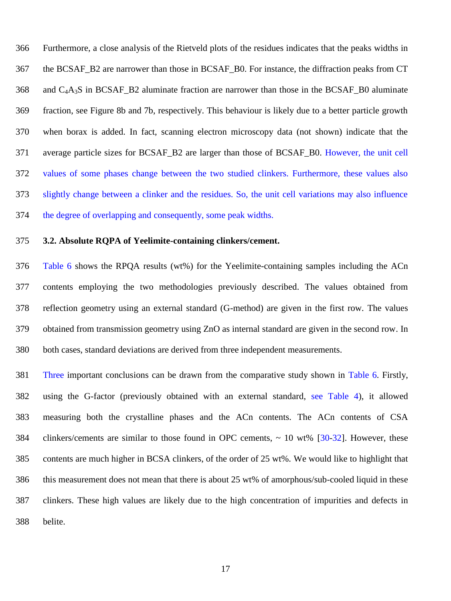Furthermore, a close analysis of the Rietveld plots of the residues indicates that the peaks widths in the BCSAF\_B2 are narrower than those in BCSAF\_B0. For instance, the diffraction peaks from CT 368 and  $C_4A_3S$  in BCSAF\_B2 aluminate fraction are narrower than those in the BCSAF\_B0 aluminate fraction, see Figure 8b and 7b, respectively. This behaviour is likely due to a better particle growth when borax is added. In fact, scanning electron microscopy data (not shown) indicate that the average particle sizes for BCSAF\_B2 are larger than those of BCSAF\_B0. However, the unit cell values of some phases change between the two studied clinkers. Furthermore, these values also slightly change between a clinker and the residues. So, the unit cell variations may also influence the degree of overlapping and consequently, some peak widths.

## **3.2. Absolute RQPA of Yeelimite-containing clinkers/cement.**

 Table 6 shows the RPQA results (wt%) for the Yeelimite-containing samples including the ACn contents employing the two methodologies previously described. The values obtained from reflection geometry using an external standard (G-method) are given in the first row. The values obtained from transmission geometry using ZnO as internal standard are given in the second row. In both cases, standard deviations are derived from three independent measurements.

 Three important conclusions can be drawn from the comparative study shown in Table 6. Firstly, using the G-factor (previously obtained with an external standard, see Table 4), it allowed measuring both the crystalline phases and the ACn contents. The ACn contents of CSA clinkers/cements are similar to those found in OPC cements, ~ 10 wt% [30-32]. However, these contents are much higher in BCSA clinkers, of the order of 25 wt%. We would like to highlight that this measurement does not mean that there is about 25 wt% of amorphous/sub-cooled liquid in these clinkers. These high values are likely due to the high concentration of impurities and defects in belite.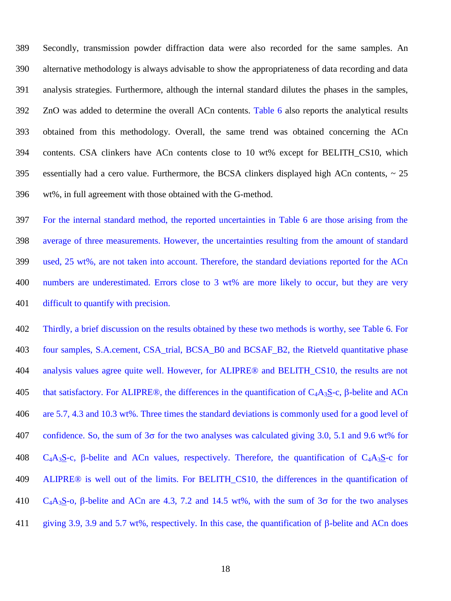Secondly, transmission powder diffraction data were also recorded for the same samples. An alternative methodology is always advisable to show the appropriateness of data recording and data analysis strategies. Furthermore, although the internal standard dilutes the phases in the samples, ZnO was added to determine the overall ACn contents. Table 6 also reports the analytical results obtained from this methodology. Overall, the same trend was obtained concerning the ACn contents. CSA clinkers have ACn contents close to 10 wt% except for BELITH\_CS10, which 395 essentially had a cero value. Furthermore, the BCSA clinkers displayed high ACn contents,  $\sim$  25 wt%, in full agreement with those obtained with the G-method.

 For the internal standard method, the reported uncertainties in Table 6 are those arising from the average of three measurements. However, the uncertainties resulting from the amount of standard used, 25 wt%, are not taken into account. Therefore, the standard deviations reported for the ACn numbers are underestimated. Errors close to 3 wt% are more likely to occur, but they are very difficult to quantify with precision.

 Thirdly, a brief discussion on the results obtained by these two methods is worthy, see Table 6. For four samples, S.A.cement, CSA\_trial, BCSA\_B0 and BCSAF\_B2, the Rietveld quantitative phase analysis values agree quite well. However, for ALIPRE® and BELITH\_CS10, the results are not 405 that satisfactory. For ALIPRE®, the differences in the quantification of  $C_4A_3S-c$ ,  $\beta$ -belite and ACn are 5.7, 4.3 and 10.3 wt%. Three times the standard deviations is commonly used for a good level of 407 confidence. So, the sum of  $3\sigma$  for the two analyses was calculated giving 3.0, 5.1 and 9.6 wt% for 408  $C_4A_3S-c$ ,  $\beta$ -belite and ACn values, respectively. Therefore, the quantification of  $C_4A_3S-c$  for 409 ALIPRE<sup>®</sup> is well out of the limits. For BELITH CS10, the differences in the quantification of 410 C<sub>4</sub>A<sub>3</sub>S-o,  $\beta$ -belite and ACn are 4.3, 7.2 and 14.5 wt%, with the sum of  $3\sigma$  for the two analyses 411 giving 3.9, 3.9 and 5.7 wt%, respectively. In this case, the quantification of  $\beta$ -belite and ACn does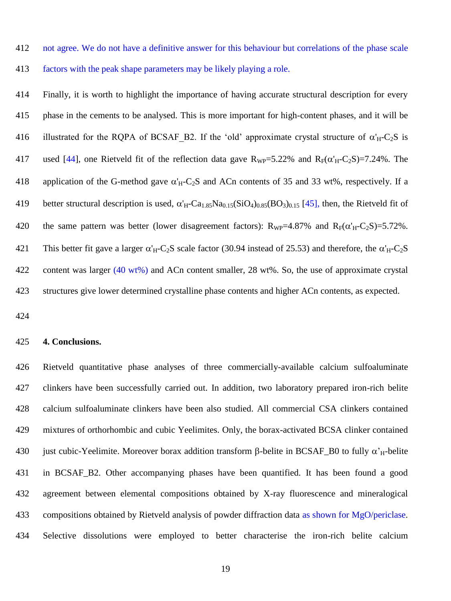not agree. We do not have a definitive answer for this behaviour but correlations of the phase scale

factors with the peak shape parameters may be likely playing a role.

 Finally, it is worth to highlight the importance of having accurate structural description for every phase in the cements to be analysed. This is more important for high-content phases, and it will be 416 illustrated for the RQPA of BCSAF B2. If the 'old' approximate crystal structure of  $\alpha'_{H}-C_2S$  is 417 used [44], one Rietveld fit of the reflection data gave  $R_{WP}=5.22\%$  and  $R_F(\alpha'_H-C_2S)=7.24\%$ . The 418 application of the G-method gave  $\alpha'_{H}$ -C<sub>2</sub>S and ACn contents of 35 and 33 wt%, respectively. If a 419 better structural description is used,  $\alpha'_{H}$ -Ca<sub>1.85</sub>Na<sub>0.15</sub>(SiO<sub>4</sub>)<sub>0.85</sub>(BO<sub>3</sub>)<sub>0.15</sub> [45], then, the Rietveld fit of 420 the same pattern was better (lower disagreement factors):  $R_{WP}=4.87\%$  and  $R_F(\alpha'_H-C_2S)=5.72\%$ . 421 This better fit gave a larger  $\alpha'_{H}$ -C<sub>2</sub>S scale factor (30.94 instead of 25.53) and therefore, the  $\alpha'_{H}$ -C<sub>2</sub>S 422 content was larger (40 wt%) and ACn content smaller, 28 wt%. So, the use of approximate crystal structures give lower determined crystalline phase contents and higher ACn contents, as expected.

#### **4. Conclusions.**

 Rietveld quantitative phase analyses of three commercially-available calcium sulfoaluminate clinkers have been successfully carried out. In addition, two laboratory prepared iron-rich belite calcium sulfoaluminate clinkers have been also studied. All commercial CSA clinkers contained mixtures of orthorhombic and cubic Yeelimites. Only, the borax-activated BCSA clinker contained 430 just cubic-Yeelimite. Moreover borax addition transform  $\beta$ -belite in BCSAF\_B0 to fully  $\alpha'_{H}$ -belite in BCSAF\_B2. Other accompanying phases have been quantified. It has been found a good agreement between elemental compositions obtained by X-ray fluorescence and mineralogical compositions obtained by Rietveld analysis of powder diffraction data as shown for MgO/periclase. Selective dissolutions were employed to better characterise the iron-rich belite calcium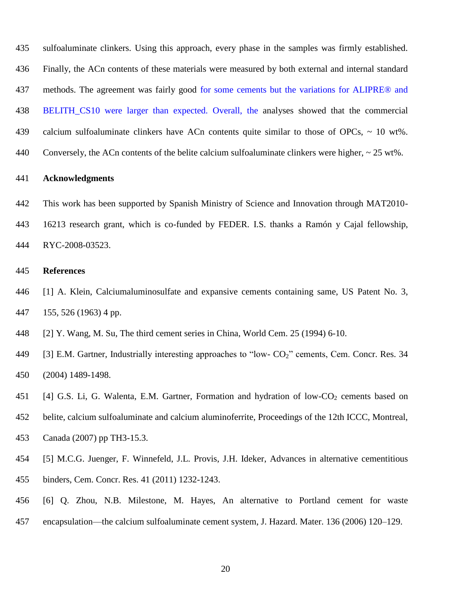Finally, the ACn contents of these materials were measured by both external and internal standard methods. The agreement was fairly good for some cements but the variations for ALIPRE® and 438 BELITH CS10 were larger than expected. Overall, the analyses showed that the commercial calcium sulfoaluminate clinkers have ACn contents quite similar to those of OPCs, ~ 10 wt%. Conversely, the ACn contents of the belite calcium sulfoaluminate clinkers were higher, ~ 25 wt%.

sulfoaluminate clinkers. Using this approach, every phase in the samples was firmly established.

#### **Acknowledgments**

 This work has been supported by Spanish Ministry of Science and Innovation through MAT2010- 16213 research grant, which is co-funded by FEDER. I.S. thanks a Ramón y Cajal fellowship, RYC-2008-03523.

#### **References**

- [1] A. Klein, Calciumaluminosulfate and expansive cements containing same, US Patent No. 3, 155, 526 (1963) 4 pp.
- [2] Y. Wang, M. Su, The third cement series in China, World Cem. 25 (1994) 6-10.
- 449 [3] E.M. Gartner, Industrially interesting approaches to "low-  $CO<sub>2</sub>$ " cements, Cem. Concr. Res. 34 (2004) 1489-1498.
- 451 [4] G.S. Li, G. Walenta, E.M. Gartner, Formation and hydration of low-CO<sub>2</sub> cements based on
- belite, calcium sulfoaluminate and calcium aluminoferrite, Proceedings of the 12th ICCC, Montreal,
- Canada (2007) pp TH3-15.3.
- [5] M.C.G. Juenger, F. Winnefeld, J.L. Provis, J.H. Ideker, Advances in alternative cementitious
- binders, Cem. Concr. Res. 41 (2011) 1232-1243.
- [6] Q. Zhou, N.B. Milestone, M. Hayes, An alternative to Portland cement for waste
- encapsulation—the calcium sulfoaluminate cement system, J. Hazard. Mater. 136 (2006) 120–129.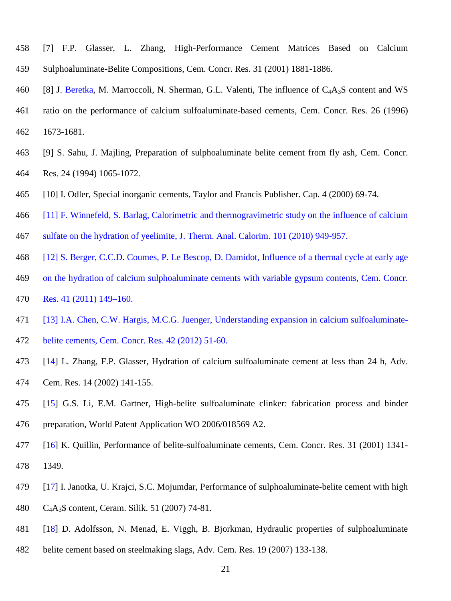- [7] F.P. Glasser, L. Zhang, High-Performance Cement Matrices Based on Calcium Sulphoaluminate-Belite Compositions, Cem. Concr. Res. 31 (2001) 1881-1886.
- 460 [8] J. Beretka, M. Marroccoli, N. Sherman, G.L. Valenti, The influence of  $C_4A_3S$  content and WS [ratio on the performance of calcium sulfoaluminate-based cements,](http://www.sciencedirect.com/science/article/pii/S0008884696001640?_alid=1840169977&_rdoc=1&_fmt=high&_origin=search&_docanchor=&_ct=1&_zone=rslt_list_item&md5=76d50cc6ed3845e743d51b5a2975ce59) Cem. Concr. Res. 26 (1996) 1673-1681.
- [9] S. Sahu, J. Majling, [Preparation of sulphoaluminate belite cement from fly ash,](http://www.sciencedirect.com/science/article/pii/0008884694900302?_alid=1840174297&_rdoc=1&_fmt=high&_origin=search&_docanchor=&_ct=1&_zone=rslt_list_item&md5=91ea621e5d10ab2c975c5ec09992f517) Cem. Concr. Res. 24 (1994) 1065-1072.
- [10] I. Odler, Special inorganic cements, Taylor and Francis Publisher. Cap. 4 (2000) 69-74.
- [11] F. Winnefeld, S. Barlag, Calorimetric and thermogravimetric study on the influence of calcium
- sulfate on the hydration of yeelimite, J. Therm. Anal. Calorim. 101 (2010) 949-957.
- [12] S. Berger, C.C.D. Coumes, P. Le Bescop, D. Damidot, Influence of a thermal cycle at early age
- on the hydration of calcium sulphoaluminate cements with variable gypsum contents, Cem. Concr.
- Res. 41 (2011) 149–160.
- [13] I.A. Chen, C.W. Hargis, M.C.G. Juenger, Understanding expansion in calcium sulfoaluminate-
- belite cements, Cem. Concr. Res. 42 (2012) 51-60.
- [14] L. Zhang, F.P. Glasser, Hydration of calcium sulfoaluminate cement at less than 24 h, Adv. Cem. Res. 14 (2002) 141-155.
- [15] G.S. Li, E.M. Gartner, High-belite sulfoaluminate clinker: fabrication process and binder preparation, World Patent Application WO 2006/018569 A2.
- [16] K. Quillin, Performance of belite-sulfoaluminate cements, Cem. Concr. Res. 31 (2001) 1341- 1349.
- [17] I. Janotka, U. Krajci, S.C. Mojumdar, Performance of sulphoaluminate-belite cement with high
- C4A3\$ content, Ceram. Silik. 51 (2007) 74-81.
- [18] D. Adolfsson, N. Menad, E. Viggh, B. Bjorkman, Hydraulic properties of sulphoaluminate
- belite cement based on steelmaking slags, Adv. Cem. Res. 19 (2007) 133-138.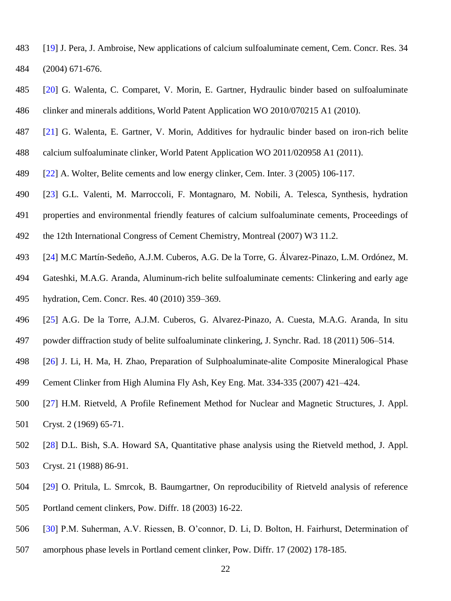- [19] J. Pera, J. Ambroise, New applications of calcium sulfoaluminate cement, Cem. Concr. Res. 34 (2004) 671-676.
- [20] G. Walenta, C. Comparet, V. Morin, E. Gartner, Hydraulic binder based on sulfoaluminate clinker and minerals additions, World Patent Application WO 2010/070215 A1 (2010).
- [21] G. Walenta, E. Gartner, V. Morin, Additives for hydraulic binder based on iron-rich belite
- calcium sulfoaluminate clinker, World Patent Application WO 2011/020958 A1 (2011).
- [22] A. Wolter, Belite cements and low energy clinker, Cem. Inter. 3 (2005) 106-117.
- [23] G.L. Valenti, M. Marroccoli, F. Montagnaro, M. Nobili, A. Telesca, Synthesis, hydration
- properties and environmental friendly features of calcium sulfoaluminate cements, Proceedings of
- the 12th International Congress of Cement Chemistry, Montreal (2007) W3 11.2.
- [24] M.C Martín-Sedeño, A.J.M. Cuberos, A.G. De la Torre, G. Álvarez-Pinazo, L.M. Ordónez, M.
- Gateshki, M.A.G. Aranda, Aluminum-rich belite sulfoaluminate cements: Clinkering and early age
- hydration, Cem. Concr. Res. 40 (2010) 359–369.
- [25] A.G. De la Torre, A.J.M. Cuberos, G. Alvarez-Pinazo, A. Cuesta, M.A.G. Aranda, In situ
- powder diffraction study of belite sulfoaluminate clinkering, J. Synchr. Rad. 18 (2011) 506–514.
- [26] J. Li, H. Ma, H. Zhao, Preparation of Sulphoaluminate-alite Composite Mineralogical Phase
- Cement Clinker from High Alumina Fly Ash, Key Eng. Mat. 334-335 (2007) 421–424.
- [27] H.M. Rietveld, A Profile Refinement Method for Nuclear and Magnetic Structures, J. Appl. Cryst. 2 (1969) 65-71.
- [28] D.L. Bish, S.A. Howard SA, Quantitative phase analysis using the Rietveld method, J. Appl. Cryst. 21 (1988) 86-91.
- [29] O. Pritula, L. Smrcok, B. Baumgartner, On reproducibility of Rietveld analysis of reference
- Portland cement clinkers, Pow. Diffr. 18 (2003) 16-22.
- [30] P.M. Suherman, A.V. Riessen, B. O'connor, D. Li, D. Bolton, H. Fairhurst, Determination of
- amorphous phase levels in Portland cement clinker, Pow. Diffr. 17 (2002) 178-185.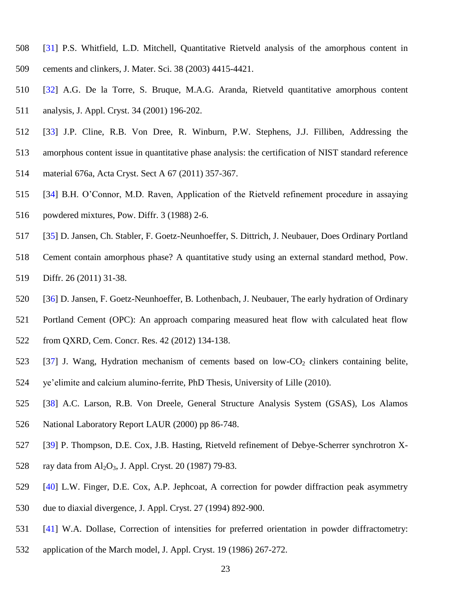- [31] P.S. Whitfield, L.D. Mitchell, Quantitative Rietveld analysis of the amorphous content in cements and clinkers, J. Mater. Sci. 38 (2003) 4415-4421.
- [32] A.G. De la Torre, S. Bruque, M.A.G. Aranda, Rietveld quantitative amorphous content analysis, J. Appl. Cryst. 34 (2001) 196-202.
- [33] J.P. Cline, R.B. Von Dree, R. Winburn, P.W. Stephens, J.J. Filliben, Addressing the
- amorphous content issue in quantitative phase analysis: the certification of NIST standard reference
- material 676a, Acta Cryst. Sect A 67 (2011) 357-367.
- [34] B.H. O'Connor, M.D. Raven, Application of the Rietveld refinement procedure in assaying
- powdered mixtures, Pow. Diffr. 3 (1988) 2-6.
- [35] D. Jansen, Ch. Stabler, F. Goetz-Neunhoeffer, S. Dittrich, J. Neubauer, Does Ordinary Portland
- Cement contain amorphous phase? A quantitative study using an external standard method, Pow.
- Diffr. 26 (2011) 31-38.
- [36] D. Jansen, F. Goetz-Neunhoeffer, B. Lothenbach, J. Neubauer, The early hydration of Ordinary
- Portland Cement (OPC): An approach comparing measured heat flow with calculated heat flow
- from QXRD, Cem. Concr. Res. 42 (2012) 134-138.
- 523 [37] J. Wang, Hydration mechanism of cements based on low- $CO<sub>2</sub>$  clinkers containing belite, ye'elimite and calcium alumino-ferrite, PhD Thesis, University of Lille (2010).
- [38] A.C. Larson, R.B. Von Dreele, General Structure Analysis System (GSAS), Los Alamos
- National Laboratory Report LAUR (2000) pp 86-748.
- [39] P. Thompson, D.E. Cox, J.B. Hasting, Rietveld refinement of Debye-Scherrer synchrotron X-
- 528 ray data from  $Al_2O_3$ , J. Appl. Cryst. 20 (1987) 79-83.
- [40] L.W. Finger, D.E. Cox, A.P. Jephcoat, A correction for powder diffraction peak asymmetry
- due to diaxial divergence, J. Appl. Cryst. 27 (1994) 892-900.
- [41] W.A. Dollase, Correction of intensities for preferred orientation in powder diffractometry:
- application of the March model, J. Appl. Cryst. 19 (1986) 267-272.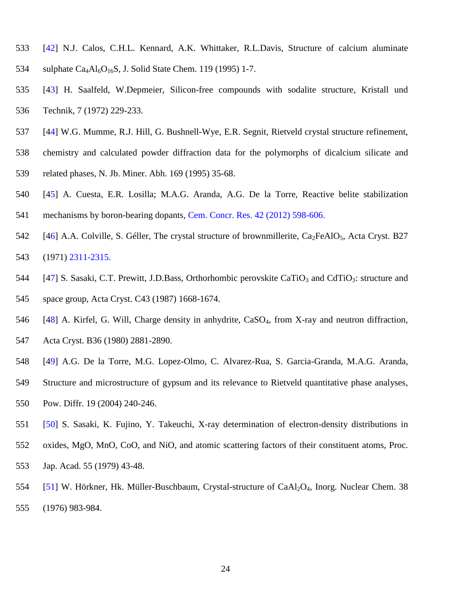- [42] N.J. Calos, C.H.L. Kennard, A.K. Whittaker, R.L.Davis, Structure of calcium aluminate 534 sulphate  $Ca<sub>4</sub>Al<sub>6</sub>O<sub>16</sub>S$ , J. Solid State Chem. 119 (1995) 1-7.
- [43] H. Saalfeld, W.Depmeier, Silicon-free compounds with sodalite structure, Kristall und Technik, 7 (1972) 229-233.
- [44] W.G. Mumme, R.J. Hill, G. Bushnell-Wye, E.R. Segnit, Rietveld crystal structure refinement,
- chemistry and calculated powder diffraction data for the polymorphs of dicalcium silicate and
- related phases, N. Jb. Miner. Abh. 169 (1995) 35-68.
- [45] A. Cuesta, E.R. Losilla; M.A.G. Aranda, A.G. De la Torre, Reactive belite stabilization
- mechanisms by boron-bearing dopants, Cem. Concr. Res. 42 (2012) 598-606.
- 542 [46] A.A. Colville, S. Géller, The crystal structure of brownmillerite,  $Ca_2FeAlO<sub>5</sub>$ , Acta Cryst. B27 (1971) 2311-2315.
- 544 [47] S. Sasaki, C.T. Prewitt, J.D.Bass, Orthorhombic perovskite CaTiO<sub>3</sub> and CdTiO<sub>3</sub>: structure and
- space group, Acta Cryst. C43 (1987) 1668-1674.
- [48] A. Kirfel, G. Will, Charge density in anhydrite, CaSO4, from X-ray and neutron diffraction,
- Acta Cryst. B36 (1980) 2881-2890.
- [49] A.G. De la Torre, M.G. Lopez-Olmo, C. Alvarez-Rua, S. Garcia-Granda, M.A.G. Aranda,
- Structure and microstructure of gypsum and its relevance to Rietveld quantitative phase analyses,
- Pow. Diffr. 19 (2004) 240-246.
- [50] S. Sasaki, K. Fujino, Y. Takeuchi, X-ray determination of electron-density distributions in
- oxides, MgO, MnO, CoO, and NiO, and atomic scattering factors of their constituent atoms, Proc. Jap. Acad. 55 (1979) 43-48.
- [51] W. Hörkner, Hk. Müller-Buschbaum, Crystal-structure of CaAl2O4, Inorg. Nuclear Chem. 38 (1976) 983-984.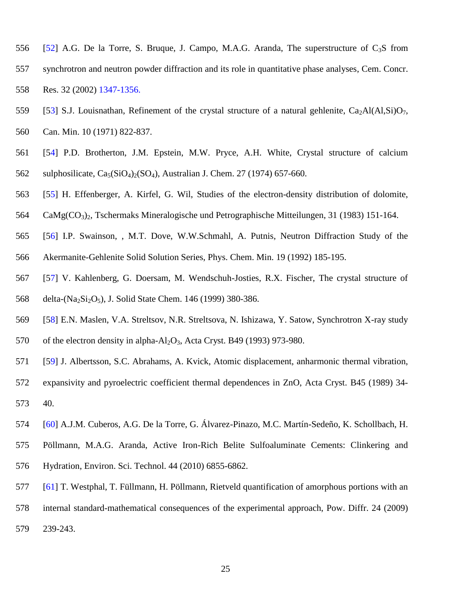- 556 [52] A.G. De la Torre, S. Bruque, J. Campo, M.A.G. Aranda, The superstructure of  $C_3S$  from synchrotron and neutron powder diffraction and its role in quantitative phase analyses, Cem. Concr. Res. 32 (2002) 1347-1356.
- 559 [53] S.J. Louisnathan, Refinement of the crystal structure of a natural gehlenite,  $Ca_2Al(Al,Si)O_7$ ,
- Can. Min. 10 (1971) 822-837.
- [54] P.D. Brotherton, J.M. Epstein, M.W. Pryce, A.H. White, Crystal structure of calcium 562 sulphosilicate,  $Ca_5(SiO_4)_{2}(SO_4)$ , Australian J. Chem. 27 (1974) 657-660.
- [55] H. Effenberger, A. Kirfel, G. Wil, Studies of the electron-density distribution of dolomite,
- CaMg(CO3)2, Tschermaks Mineralogische und Petrographische Mitteilungen, 31 (1983) 151-164.
- [56] I.P. Swainson, , M.T. Dove, W.W.Schmahl, A. Putnis, Neutron Diffraction Study of the Akermanite-Gehlenite Solid Solution Series, Phys. Chem. Min. 19 (1992) 185-195.
- [57] V. Kahlenberg, G. Doersam, M. Wendschuh-Josties, R.X. Fischer, The crystal structure of 568 delta-(Na<sub>2</sub>Si<sub>2</sub>O<sub>5</sub>), J. Solid State Chem. 146 (1999) 380-386.
- [58] E.N. Maslen, V.A. Streltsov, N.R. Streltsova, N. Ishizawa, Y. Satow, Synchrotron X-ray study 570 of the electron density in alpha-Al<sub>2</sub>O<sub>3</sub>, Acta Cryst. B49 (1993) 973-980.
- [59] J. Albertsson, S.C. Abrahams, A. Kvick, Atomic displacement, anharmonic thermal vibration,
- expansivity and pyroelectric coefficient thermal dependences in ZnO, Acta Cryst. B45 (1989) 34- 40.
- [60] A.J.M. Cuberos, A.G. De la Torre, G. Álvarez-Pinazo, M.C. Martín-Sedeño, K. Schollbach, H.
- Pöllmann, M.A.G. Aranda, Active Iron-Rich Belite Sulfoaluminate Cements: Clinkering and Hydration, Environ. Sci. Technol. 44 (2010) 6855-6862.
- [61] T. Westphal, T. Füllmann, H. Pöllmann, Rietveld quantification of amorphous portions with an
- internal standard-mathematical consequences of the experimental approach, Pow. Diffr. 24 (2009)
- 239-243.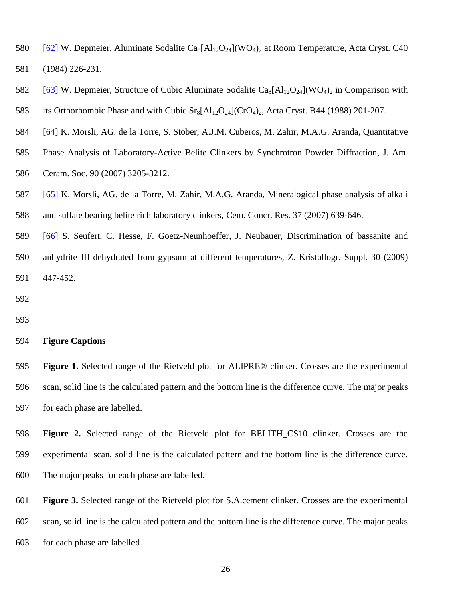- 580 [62] W. Depmeier, Aluminate Sodalite  $Ca_8[A]_2O_{24}$ ](WO<sub>4</sub>)<sub>2</sub> at Room Temperature, Acta Cryst. C40 (1984) 226-231.
- 582 [63] W. Depmeier, Structure of Cubic Aluminate Sodalite Ca<sub>8</sub>[Al<sub>12</sub>O<sub>24</sub>](WO<sub>4</sub>)<sub>2</sub> in Comparison with
- 583 its Orthorhombic Phase and with Cubic  $Sr_8[A]_2O_{24}$  (CrO<sub>4</sub>)<sub>2</sub>, Acta Cryst. B44 (1988) 201-207.
- [64] K. Morsli, AG. de la Torre, S. Stober, A.J.M. Cuberos, M. Zahir, M.A.G. Aranda, Quantitative
- Phase Analysis of Laboratory-Active Belite Clinkers by Synchrotron Powder Diffraction, J. Am.
- Ceram. Soc. 90 (2007) 3205-3212.
- [65] K. Morsli, AG. de la Torre, M. Zahir, M.A.G. Aranda, Mineralogical phase analysis of alkali and sulfate bearing belite rich laboratory clinkers, Cem. Concr. Res. 37 (2007) 639-646.
- [66] S. Seufert, C. Hesse, F. Goetz-Neunhoeffer, J. Neubauer, Discrimination of bassanite and anhydrite III dehydrated from gypsum at different temperatures, Z. Kristallogr. Suppl. 30 (2009) 447-452.

## **Figure Captions**

 **Figure 1.** Selected range of the Rietveld plot for ALIPRE® clinker. Crosses are the experimental scan, solid line is the calculated pattern and the bottom line is the difference curve. The major peaks for each phase are labelled.

 **Figure 2.** Selected range of the Rietveld plot for BELITH\_CS10 clinker. Crosses are the experimental scan, solid line is the calculated pattern and the bottom line is the difference curve. The major peaks for each phase are labelled.

 **Figure 3.** Selected range of the Rietveld plot for S.A.cement clinker. Crosses are the experimental scan, solid line is the calculated pattern and the bottom line is the difference curve. The major peaks for each phase are labelled.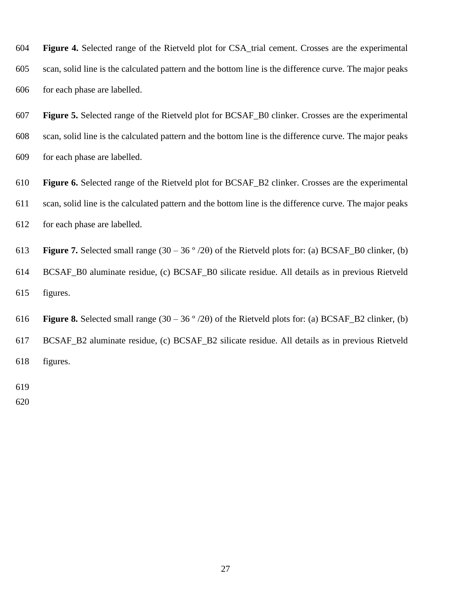**Figure 4.** Selected range of the Rietveld plot for CSA\_trial cement. Crosses are the experimental scan, solid line is the calculated pattern and the bottom line is the difference curve. The major peaks for each phase are labelled.

 **Figure 5.** Selected range of the Rietveld plot for BCSAF\_B0 clinker. Crosses are the experimental scan, solid line is the calculated pattern and the bottom line is the difference curve. The major peaks for each phase are labelled.

 **Figure 6.** Selected range of the Rietveld plot for BCSAF\_B2 clinker. Crosses are the experimental scan, solid line is the calculated pattern and the bottom line is the difference curve. The major peaks for each phase are labelled.

613 **Figure 7.** Selected small range  $(30 - 36^\circ/2\theta)$  of the Rietveld plots for: (a) BCSAF\_B0 clinker, (b) BCSAF\_B0 aluminate residue, (c) BCSAF\_B0 silicate residue. All details as in previous Rietveld figures.

616 **Figure 8.** Selected small range  $(30 - 36^\circ/2\theta)$  of the Rietveld plots for: (a) BCSAF\_B2 clinker, (b) BCSAF\_B2 aluminate residue, (c) BCSAF\_B2 silicate residue. All details as in previous Rietveld figures.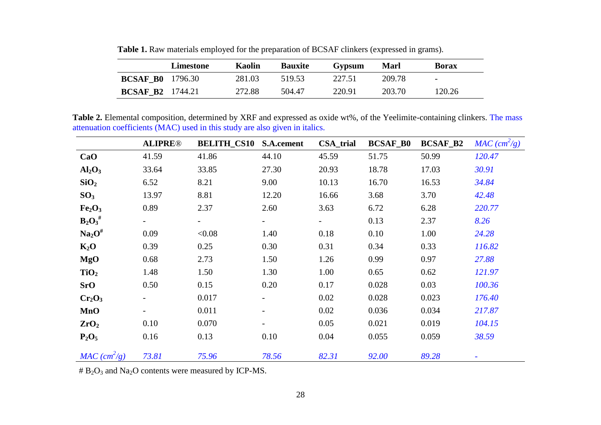|                         | Limestone | Kaolin | <b>Bauxite</b> | Gypsum | Marl   | <b>Borax</b>             |
|-------------------------|-----------|--------|----------------|--------|--------|--------------------------|
| <b>BCSAF B0</b> 1796.30 |           | 281.03 | 519.53         | 227.51 | 209.78 | $\overline{\phantom{0}}$ |
| <b>BCSAF B2</b> 1744.21 |           | 272.88 | 504.47         | 220.91 | 203.70 | 120.26                   |

**Table 1.** Raw materials employed for the preparation of BCSAF clinkers (expressed in grams).

**Table 2.** Elemental composition, determined by XRF and expressed as oxide wt%, of the Yeelimite-containing clinkers. The mass attenuation coefficients (MAC) used in this study are also given in italics.

|                                | <b>ALIPRE®</b> | <b>BELITH_CS10</b>       | S.A.cement | <b>CSA_trial</b> | <b>BCSAF_B0</b> | <b>BCSAF_B2</b> | $MAC \ (cm^2/g)$ |
|--------------------------------|----------------|--------------------------|------------|------------------|-----------------|-----------------|------------------|
| CaO                            | 41.59          | 41.86                    | 44.10      | 45.59            | 51.75           | 50.99           | 120.47           |
| Al <sub>2</sub> O <sub>3</sub> | 33.64          | 33.85                    | 27.30      | 20.93            | 18.78           | 17.03           | 30.91            |
| SiO <sub>2</sub>               | 6.52           | 8.21                     | 9.00       | 10.13            | 16.70           | 16.53           | 34.84            |
| SO <sub>3</sub>                | 13.97          | 8.81                     | 12.20      | 16.66            | 3.68            | 3.70            | 42.48            |
| Fe <sub>2</sub> O <sub>3</sub> | 0.89           | 2.37                     | 2.60       | 3.63             | 6.72            | 6.28            | 220.77           |
| $\mathbf{B}_2\mathbf{O}_3$ #   |                | $\overline{\phantom{a}}$ | -          | $\blacksquare$   | 0.13            | 2.37            | 8.26             |
| Na <sub>2</sub> O <sup>#</sup> | 0.09           | < 0.08                   | 1.40       | 0.18             | 0.10            | 1.00            | 24.28            |
| $K_2O$                         | 0.39           | 0.25                     | 0.30       | 0.31             | 0.34            | 0.33            | 116.82           |
| <b>MgO</b>                     | 0.68           | 2.73                     | 1.50       | 1.26             | 0.99            | 0.97            | 27.88            |
| TiO <sub>2</sub>               | 1.48           | 1.50                     | 1.30       | 1.00             | 0.65            | 0.62            | 121.97           |
| SrO                            | 0.50           | 0.15                     | 0.20       | 0.17             | 0.028           | 0.03            | 100.36           |
| Cr <sub>2</sub> O <sub>3</sub> |                | 0.017                    |            | 0.02             | 0.028           | 0.023           | 176.40           |
| <b>MnO</b>                     |                | 0.011                    |            | 0.02             | 0.036           | 0.034           | 217.87           |
| ZrO <sub>2</sub>               | 0.10           | 0.070                    |            | 0.05             | 0.021           | 0.019           | 104.15           |
| $P_2O_5$                       | 0.16           | 0.13                     | 0.10       | 0.04             | 0.055           | 0.059           | 38.59            |
| $MAC \ (cm^2/g)$               | 73.81          | 75.96                    | 78.56      | 82.31            | 92.00           | 89.28           |                  |

 $# B<sub>2</sub>O<sub>3</sub>$  and Na<sub>2</sub>O contents were measured by ICP-MS.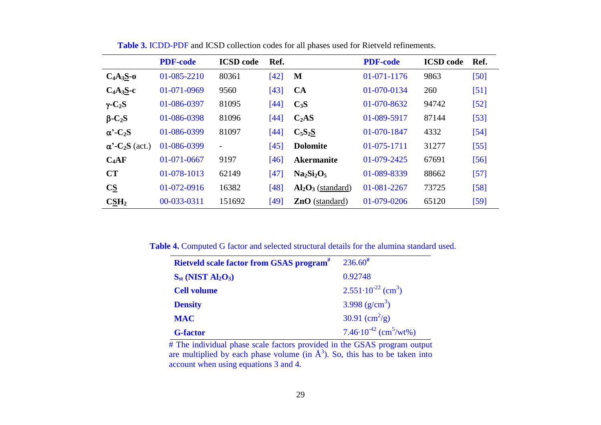|                                        | <b>PDF-code</b>   | <b>ICSD</b> code         | Ref.     |                      | <b>PDF-code</b>   | <b>ICSD</b> code | Ref.   |
|----------------------------------------|-------------------|--------------------------|----------|----------------------|-------------------|------------------|--------|
| $C_4A_3S_0$ -0                         | 01-085-2210       | 80361                    | [42]     | M                    | $01-071-1176$     | 9863             | [50]   |
| $C_4A_3S-c$                            | 01-071-0969       | 9560                     | [43]     | <b>CA</b>            | 01-070-0134       | 260              | $[51]$ |
| $\gamma$ -C <sub>2</sub> S             | 01-086-0397       | 81095                    | [ $44$ ] | $C_3S$               | 01-070-8632       | 94742            | $[52]$ |
| $\beta$ -C <sub>2</sub> S              | 01-086-0398       | 81096                    | [44]     | C <sub>2</sub> AS    | 01-089-5917       | 87144            | $[53]$ |
| $\alpha$ <sup>-</sup> C <sub>2</sub> S | 01-086-0399       | 81097                    | [44]     | $C_5S_2S$            | 01-070-1847       | 4332             | $[54]$ |
| $\alpha$ '-C <sub>2</sub> S (act.)     | 01-086-0399       | $\overline{\phantom{a}}$ | [45]     | <b>Dolomite</b>      | $01 - 075 - 1711$ | 31277            | $[55]$ |
| $C_4AF$                                | $01 - 071 - 0667$ | 9197                     | $[46]$   | <b>Akermanite</b>    | $01 - 079 - 2425$ | 67691            | $[56]$ |
| <b>CT</b>                              | 01-078-1013       | 62149                    | [47]     | $Na2Si2O5$           | 01-089-8339       | 88662            | $[57]$ |
| $C_{\underline{S}}$                    | 01-072-0916       | 16382                    | [48]     | $Al_2O_3$ (standard) | 01-081-2267       | 73725            | $[58]$ |
| $\text{CSH}_2$                         | 00-033-0311       | 151692                   | [49]     | $ZnO$ (standard)     | 01-079-0206       | 65120            | $[59]$ |

**Table 3.** ICDD-PDF and ICSD collection codes for all phases used for Rietveld refinements.

**Table 4.** Computed G factor and selected structural details for the alumina standard used.

| <b>Rietveld scale factor from GSAS program</b> <sup>#</sup> | $236.60^{#}$                                 |
|-------------------------------------------------------------|----------------------------------------------|
| $S_{st}$ (NIST Al <sub>2</sub> O <sub>3</sub> )             | 0.92748                                      |
| <b>Cell volume</b>                                          | $2.551 \cdot 10^{-22}$ (cm <sup>3</sup> )    |
| <b>Density</b>                                              | 3.998 $(g/cm^3)$                             |
| <b>MAC</b>                                                  | 30.91 $\rm (cm^2/g)$                         |
| <b>G-factor</b>                                             | $7.46 \cdot 10^{-42}$ (cm <sup>5</sup> /wt%) |

# The individual phase scale factors provided in the GSAS program output are multiplied by each phase volume (in  $\AA^3$ ). So, this has to be taken into account when using equations 3 and 4.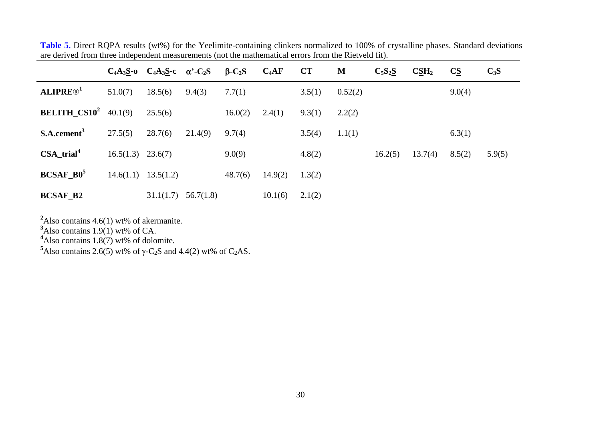|                                        |                     | $C_4A_3S_0$ $C_4A_3S_0$ $\alpha$ <sup>2</sup> -C <sub>2</sub> S |           | $\beta$ -C <sub>2</sub> S | $C_4AF$ | CT     | M       | $C_5S_2S$ | CSH <sub>2</sub> | $\overline{\text{CS}}$ | $C_3S$ |
|----------------------------------------|---------------------|-----------------------------------------------------------------|-----------|---------------------------|---------|--------|---------|-----------|------------------|------------------------|--------|
| <b>ALIPRE®</b> <sup>1</sup>            | 51.0(7)             | 18.5(6)                                                         | 9.4(3)    | 7.7(1)                    |         | 3.5(1) | 0.52(2) |           |                  | 9.0(4)                 |        |
| <b>BELITH_CS10<sup>2</sup></b> 40.1(9) |                     | 25.5(6)                                                         |           | 16.0(2)                   | 2.4(1)  | 9.3(1) | 2.2(2)  |           |                  |                        |        |
| S.A. cement <sup>3</sup>               | 27.5(5)             | 28.7(6)                                                         | 21.4(9)   | 9.7(4)                    |         | 3.5(4) | 1.1(1)  |           |                  | 6.3(1)                 |        |
| $CSA\_trial^4$                         | $16.5(1.3)$ 23.6(7) |                                                                 |           | 9.0(9)                    |         | 4.8(2) |         | 16.2(5)   | 13.7(4)          | 8.5(2)                 | 5.9(5) |
| <b>BCSAF B0<sup>5</sup></b>            | 14.6(1.1)           | 13.5(1.2)                                                       |           | 48.7(6)                   | 14.9(2) | 1.3(2) |         |           |                  |                        |        |
| <b>BCSAF_B2</b>                        |                     | 31.1(1.7)                                                       | 56.7(1.8) |                           | 10.1(6) | 2.1(2) |         |           |                  |                        |        |

Table 5. Direct RQPA results (wt%) for the Yeelimite-containing clinkers normalized to 100% of crystalline phases. Standard deviations are derived from three independent measurements (not the mathematical errors from the Rietveld fit).

<sup>2</sup>Also contains 4.6(1) wt% of akermanite.

**<sup>3</sup>**Also contains 1.9(1) wt% of CA.

**<sup>4</sup>**Also contains 1.8(7) wt% of dolomite.

<sup>5</sup>Also contains 2.6(5) wt% of  $\gamma$ -C<sub>2</sub>S and 4.4(2) wt% of C<sub>2</sub>AS.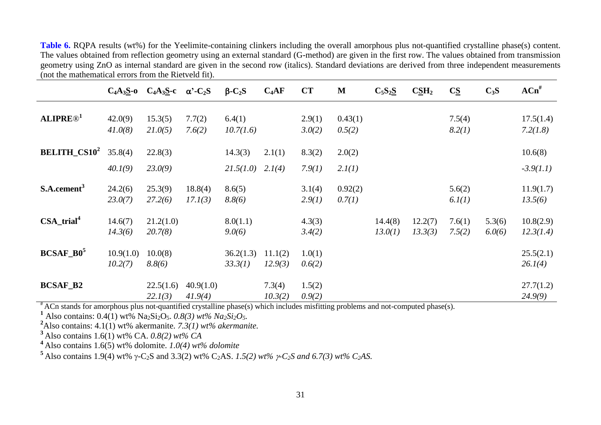**Table 6.** RQPA results (wt%) for the Yeelimite-containing clinkers including the overall amorphous plus not-quantified crystalline phase(s) content. The values obtained from reflection geometry using an external standard (G-method) are given in the first row. The values obtained from transmission geometry using ZnO as internal standard are given in the second row (italics). Standard deviations are derived from three independent measurements (not the mathematical errors from the Rietveld fit).

|                                |                      | $C_4A_3S_0$ $C_4A_3S_0$ $\alpha$ <sup>2</sup> -C <sub>2</sub> S |                      | $\beta$ -C <sub>2</sub> S | $C_4AF$            | CT               | M                 | $C_5S_2S$          | CSH <sub>2</sub>   | $C\Sigma$        | $C_3S$           | $ACn^{\#}$             |
|--------------------------------|----------------------|-----------------------------------------------------------------|----------------------|---------------------------|--------------------|------------------|-------------------|--------------------|--------------------|------------------|------------------|------------------------|
| <b>ALIPRE®</b> <sup>1</sup>    | 42.0(9)<br>41.0(8)   | 15.3(5)<br>21.0(5)                                              | 7.7(2)<br>7.6(2)     | 6.4(1)<br>10.7(1.6)       |                    | 2.9(1)<br>3.0(2) | 0.43(1)<br>0.5(2) |                    |                    | 7.5(4)<br>8.2(1) |                  | 17.5(1.4)<br>7.2(1.8)  |
| <b>BELITH_CS10<sup>2</sup></b> | 35.8(4)              | 22.8(3)                                                         |                      | 14.3(3)                   | 2.1(1)             | 8.3(2)           | 2.0(2)            |                    |                    |                  |                  | 10.6(8)                |
|                                | 40.1(9)              | 23.0(9)                                                         |                      | 21.5(1.0)                 | 2.1(4)             | 7.9(1)           | 2.1(1)            |                    |                    |                  |                  | $-3.9(1.1)$            |
| S.A. cement <sup>3</sup>       | 24.2(6)<br>23.0(7)   | 25.3(9)<br>27.2(6)                                              | 18.8(4)<br>17.1(3)   | 8.6(5)<br>8.8(6)          |                    | 3.1(4)<br>2.9(1) | 0.92(2)<br>0.7(1) |                    |                    | 5.6(2)<br>6.1(1) |                  | 11.9(1.7)<br>13.5(6)   |
| $CSA_trial^4$                  | 14.6(7)<br>14.3(6)   | 21.2(1.0)<br>20.7(8)                                            |                      | 8.0(1.1)<br>9.0(6)        |                    | 4.3(3)<br>3.4(2) |                   | 14.4(8)<br>13.0(1) | 12.2(7)<br>13.3(3) | 7.6(1)<br>7.5(2) | 5.3(6)<br>6.0(6) | 10.8(2.9)<br>12.3(1.4) |
| <b>BCSAF B0<sup>5</sup></b>    | 10.9(1.0)<br>10.2(7) | 10.0(8)<br>8.8(6)                                               |                      | 36.2(1.3)<br>33.3(1)      | 11.1(2)<br>12.9(3) | 1.0(1)<br>0.6(2) |                   |                    |                    |                  |                  | 25.5(2.1)<br>26.1(4)   |
| <b>BCSAF_B2</b>                |                      | 22.5(1.6)<br>22.1(3)                                            | 40.9(1.0)<br>41.9(4) |                           | 7.3(4)<br>10.3(2)  | 1.5(2)<br>0.9(2) |                   |                    |                    |                  |                  | 27.7(1.2)<br>24.9(9)   |

# ACn stands for amorphous plus not-quantified crystalline phase(s) which includes misfitting problems and not-computed phase(s).

<sup>1</sup> Also contains: 0.4(1) wt% Na<sub>2</sub>Si<sub>2</sub>O<sub>5</sub>. *0.8(3) wt% Na<sub>2</sub>Si<sub>2</sub>O<sub>5</sub>.* 

**<sup>2</sup>**Also contains: 4.1(1) wt% akermanite. *7.3(1) wt% akermanite.*

**<sup>3</sup>**Also contains 1.6(1) wt% CA. *0.8(2) wt% CA*

**<sup>4</sup>**Also contains 1.6(5) wt% dolomite. *1.0(4) wt% dolomite*

 $5$ Also contains 1.9(4) wt%  $\gamma$ -C<sub>2</sub>S and 3.3(2) wt% C<sub>2</sub>AS. *1.5(2) wt%*  $\gamma$ *-C<sub>2</sub>S and 6.7(3) wt% C<sub>2</sub>AS.*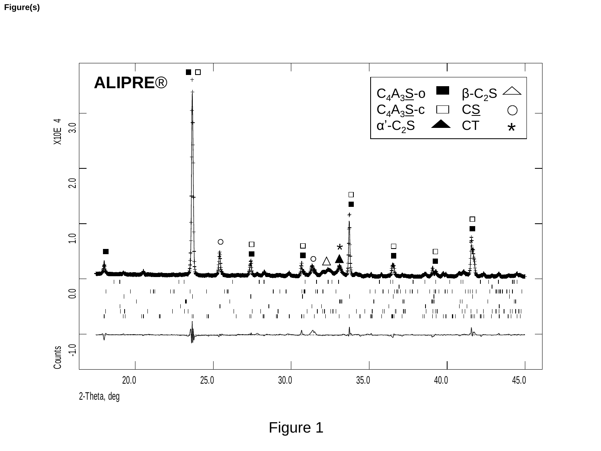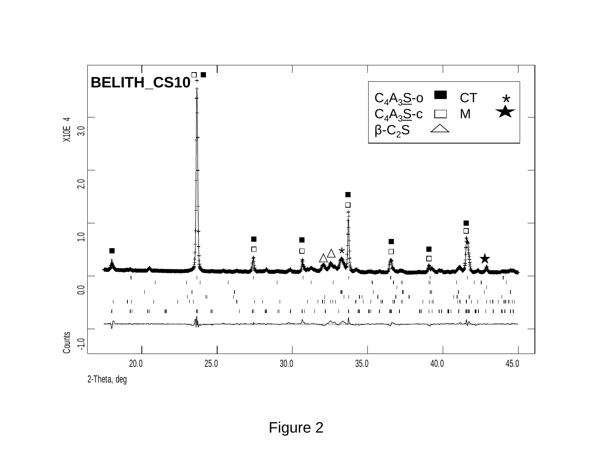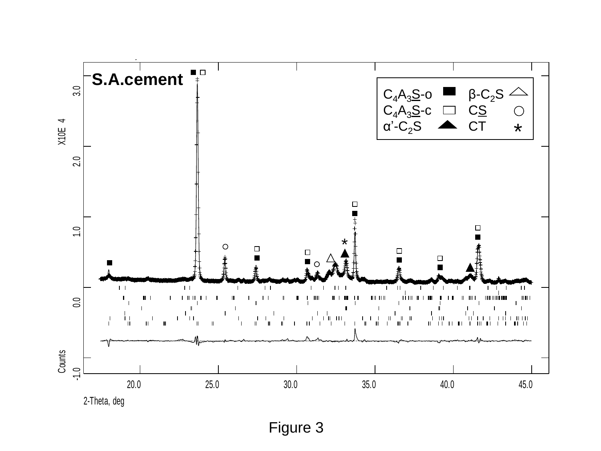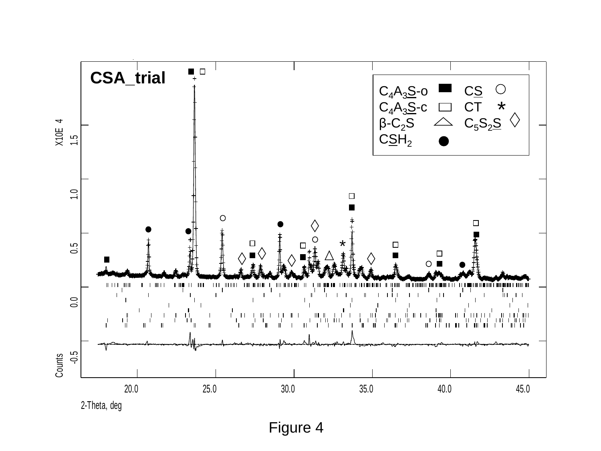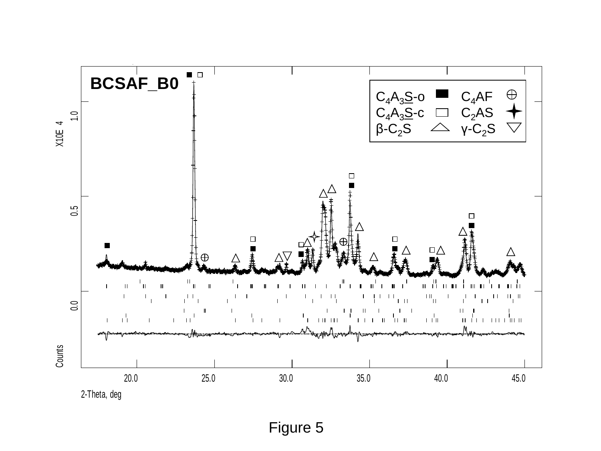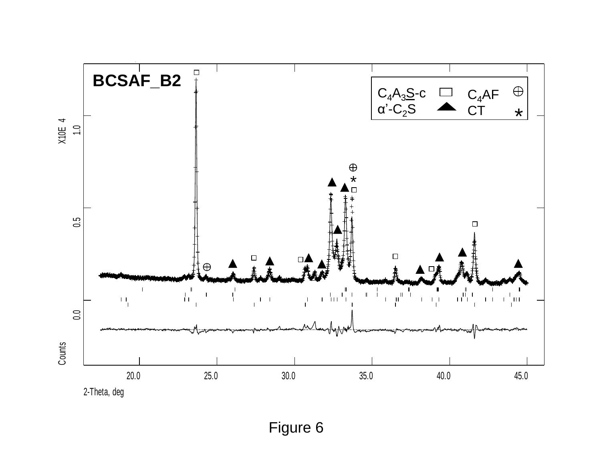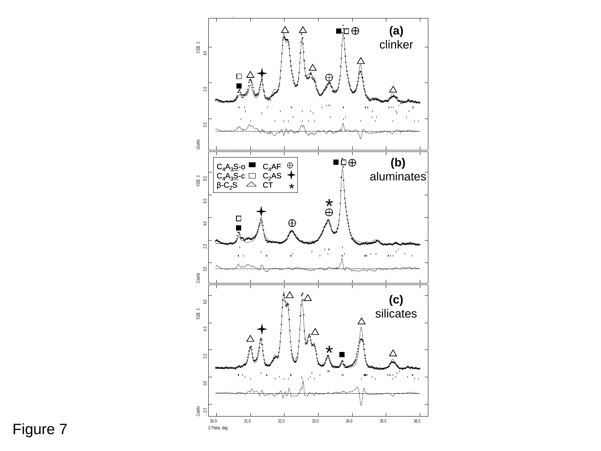